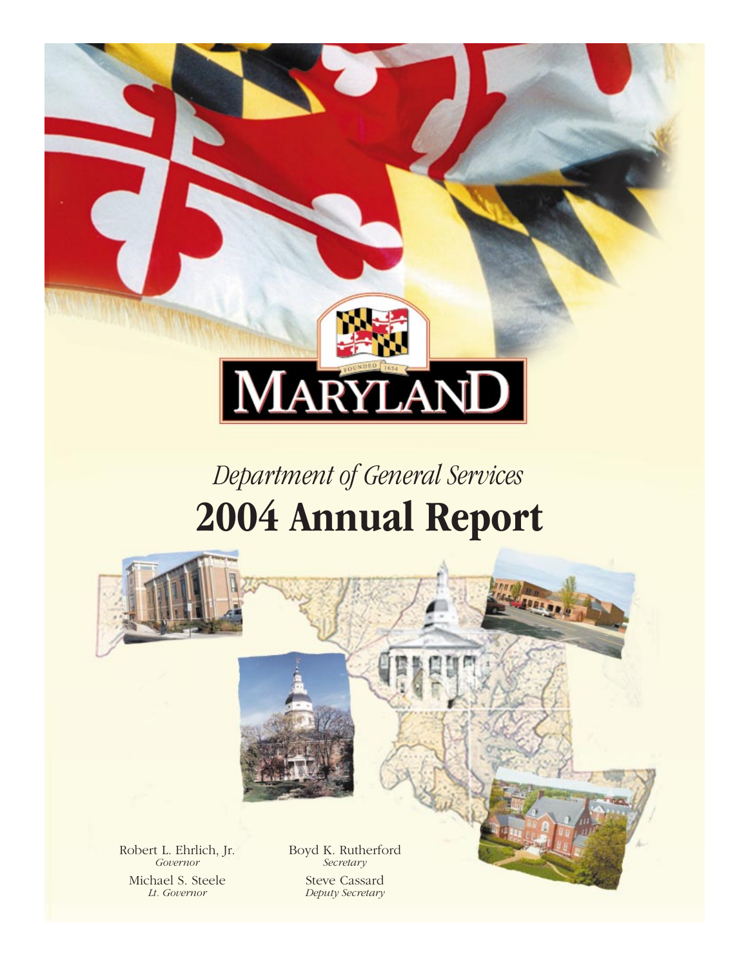

# *Department of General Services* **2004 Annual Report**



Robert L. Ehrlich, Jr. Boyd K. Rutherford<br>Governor Secretary Michael S. Steele<br> *Lt. Governor*<br> *Lt. Governor*<br> *Deputy Secretary* 

*Secretary Lt. Governor Deputy Secretary*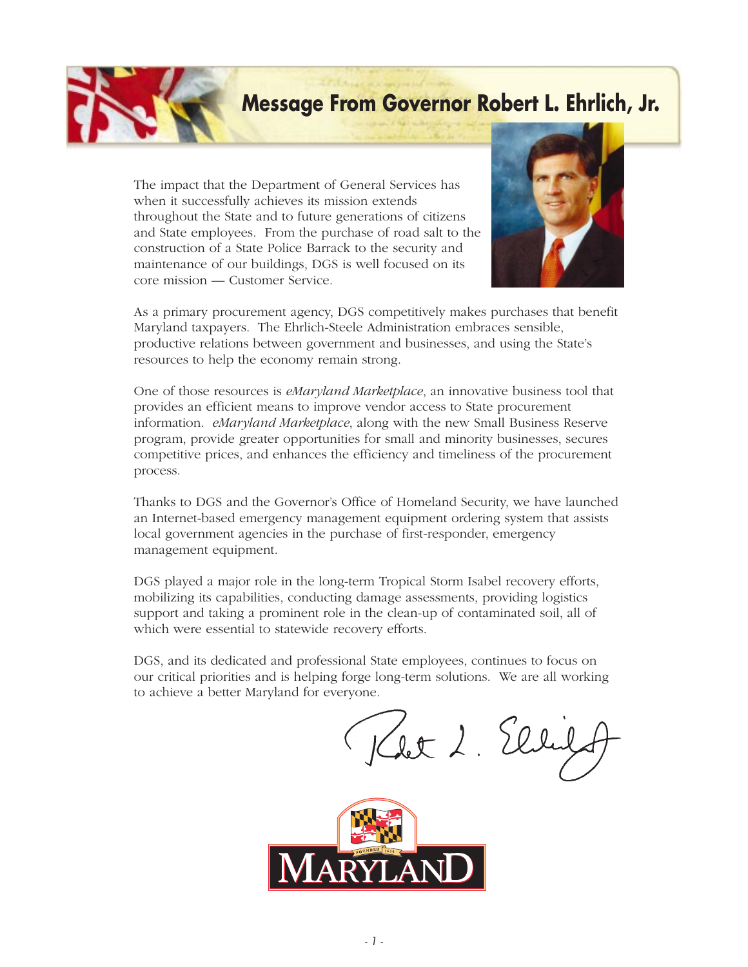### **Message From Governor Robert L. Ehrlich, Jr.**

The impact that the Department of General Services has when it successfully achieves its mission extends throughout the State and to future generations of citizens and State employees. From the purchase of road salt to the construction of a State Police Barrack to the security and maintenance of our buildings, DGS is well focused on its core mission — Customer Service.



As a primary procurement agency, DGS competitively makes purchases that benefit Maryland taxpayers. The Ehrlich-Steele Administration embraces sensible, productive relations between government and businesses, and using the State's resources to help the economy remain strong.

One of those resources is *eMaryland Marketplace*, an innovative business tool that provides an efficient means to improve vendor access to State procurement information. *eMaryland Marketplace*, along with the new Small Business Reserve program, provide greater opportunities for small and minority businesses, secures competitive prices, and enhances the efficiency and timeliness of the procurement process.

Thanks to DGS and the Governor's Office of Homeland Security, we have launched an Internet-based emergency management equipment ordering system that assists local government agencies in the purchase of first-responder, emergency management equipment.

DGS played a major role in the long-term Tropical Storm Isabel recovery efforts, mobilizing its capabilities, conducting damage assessments, providing logistics support and taking a prominent role in the clean-up of contaminated soil, all of which were essential to statewide recovery efforts.

DGS, and its dedicated and professional State employees, continues to focus on our critical priorities and is helping forge long-term solutions. We are all working to achieve a better Maryland for everyone.

Klet 2. Elle

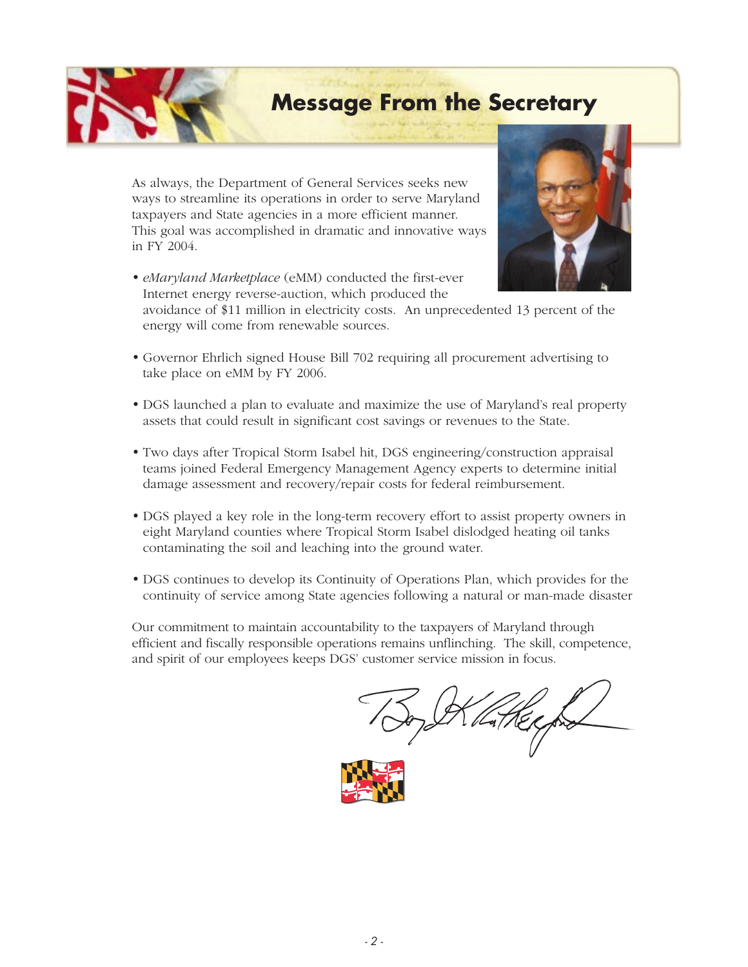**Message From the Secretary**

As always, the Department of General Services seeks new ways to streamline its operations in order to serve Maryland taxpayers and State agencies in a more efficient manner. This goal was accomplished in dramatic and innovative ways in FY 2004.

**•** *eMaryland Marketplace* (eMM) conducted the first-ever Internet energy reverse-auction, which produced the



avoidance of \$11 million in electricity costs. An unprecedented 13 percent of the energy will come from renewable sources.

- **•** Governor Ehrlich signed House Bill 702 requiring all procurement advertising to take place on eMM by FY 2006.
- **•** DGS launched a plan to evaluate and maximize the use of Maryland's real property assets that could result in significant cost savings or revenues to the State.
- **•** Two days after Tropical Storm Isabel hit, DGS engineering/construction appraisal teams joined Federal Emergency Management Agency experts to determine initial damage assessment and recovery/repair costs for federal reimbursement.
- **•** DGS played a key role in the long-term recovery effort to assist property owners in eight Maryland counties where Tropical Storm Isabel dislodged heating oil tanks contaminating the soil and leaching into the ground water.
- **•** DGS continues to develop its Continuity of Operations Plan, which provides for the continuity of service among State agencies following a natural or man-made disaster

Our commitment to maintain accountability to the taxpayers of Maryland through efficient and fiscally responsible operations remains unflinching. The skill, competence, and spirit of our employees keeps DGS' customer service mission in focus.

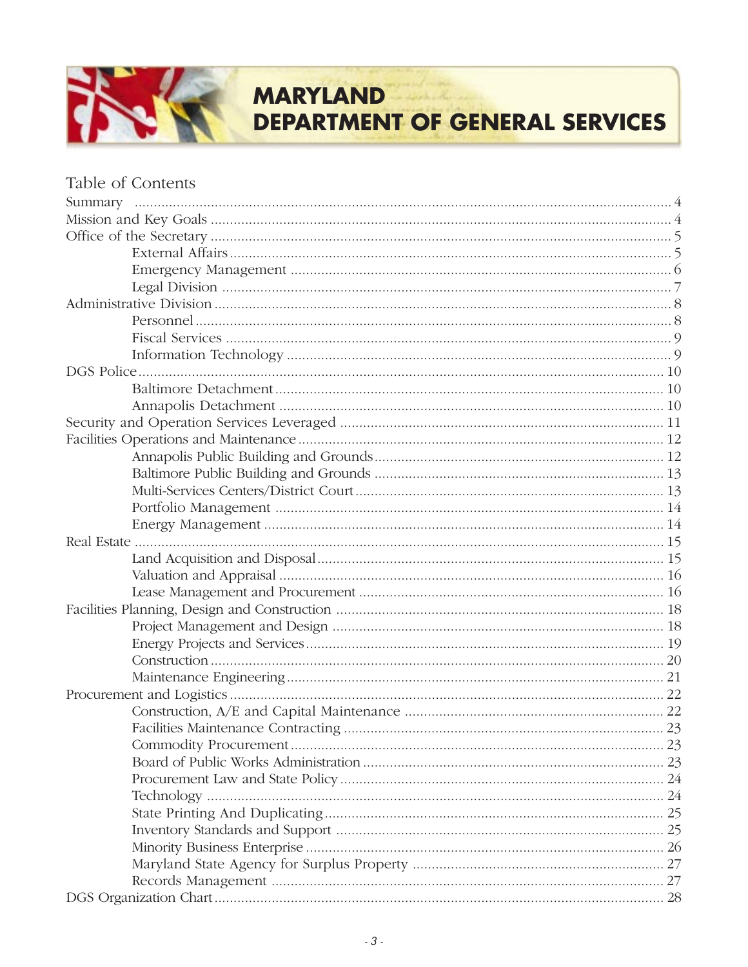### **MARYLAND**

**DEPARTMENT OF GENERAL SERVICES** 

| Table of Contents |  |
|-------------------|--|
|                   |  |
|                   |  |
|                   |  |
|                   |  |
|                   |  |
|                   |  |
|                   |  |
|                   |  |
|                   |  |
|                   |  |
|                   |  |
|                   |  |
|                   |  |
|                   |  |
|                   |  |
|                   |  |
|                   |  |
|                   |  |
|                   |  |
|                   |  |
|                   |  |
|                   |  |
|                   |  |
|                   |  |
|                   |  |
|                   |  |
|                   |  |
|                   |  |
|                   |  |
|                   |  |
|                   |  |
|                   |  |
|                   |  |
|                   |  |
|                   |  |
|                   |  |
|                   |  |
|                   |  |
|                   |  |
|                   |  |
|                   |  |
|                   |  |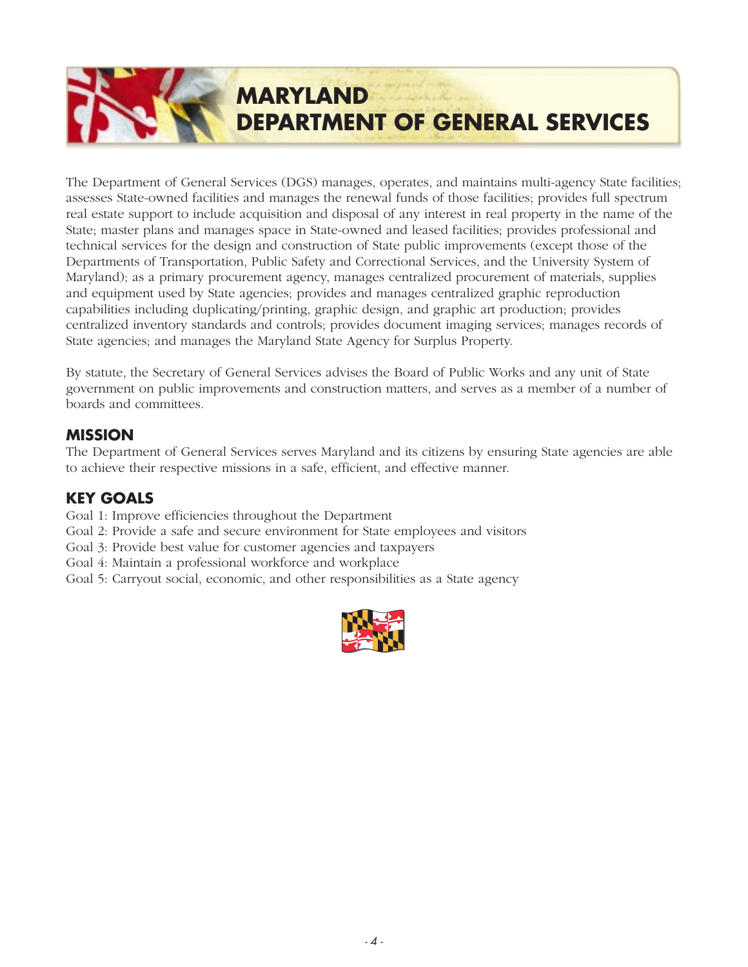# **MARYLAND DEPARTMENT OF GENERAL SERVICES**

The Department of General Services (DGS) manages, operates, and maintains multi-agency State facilities; assesses State-owned facilities and manages the renewal funds of those facilities; provides full spectrum real estate support to include acquisition and disposal of any interest in real property in the name of the State; master plans and manages space in State-owned and leased facilities; provides professional and technical services for the design and construction of State public improvements (except those of the Departments of Transportation, Public Safety and Correctional Services, and the University System of Maryland); as a primary procurement agency, manages centralized procurement of materials, supplies and equipment used by State agencies; provides and manages centralized graphic reproduction capabilities including duplicating/printing, graphic design, and graphic art production; provides centralized inventory standards and controls; provides document imaging services; manages records of State agencies; and manages the Maryland State Agency for Surplus Property.

By statute, the Secretary of General Services advises the Board of Public Works and any unit of State government on public improvements and construction matters, and serves as a member of a number of boards and committees.

### **MISSION**

The Department of General Services serves Maryland and its citizens by ensuring State agencies are able to achieve their respective missions in a safe, efficient, and effective manner.

### **KEY GOALS**

Goal 1: Improve efficiencies throughout the Department

- Goal 2: Provide a safe and secure environment for State employees and visitors
- Goal 3: Provide best value for customer agencies and taxpayers
- Goal 4: Maintain a professional workforce and workplace
- Goal 5: Carryout social, economic, and other responsibilities as a State agency

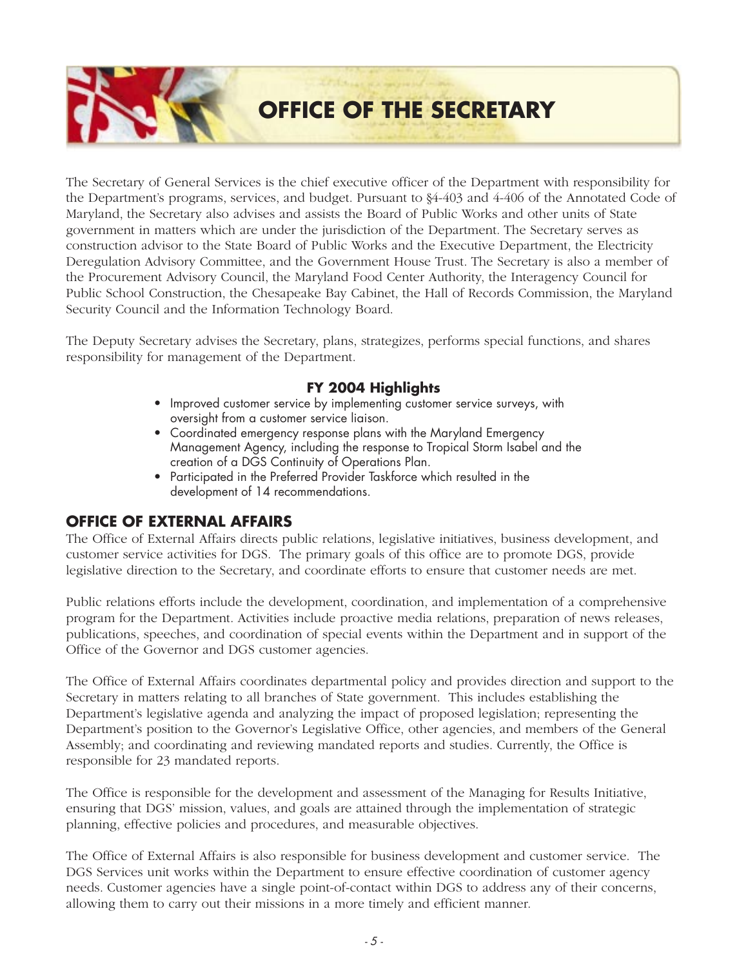**OFFICE OF THE SECRETARY**

The Secretary of General Services is the chief executive officer of the Department with responsibility for the Department's programs, services, and budget. Pursuant to §4-403 and 4-406 of the Annotated Code of Maryland, the Secretary also advises and assists the Board of Public Works and other units of State government in matters which are under the jurisdiction of the Department. The Secretary serves as construction advisor to the State Board of Public Works and the Executive Department, the Electricity Deregulation Advisory Committee, and the Government House Trust. The Secretary is also a member of the Procurement Advisory Council, the Maryland Food Center Authority, the Interagency Council for Public School Construction, the Chesapeake Bay Cabinet, the Hall of Records Commission, the Maryland Security Council and the Information Technology Board.

The Deputy Secretary advises the Secretary, plans, strategizes, performs special functions, and shares responsibility for management of the Department.

### **FY 2004 Highlights**

- *Improved customer service by implementing customer service surveys, with oversight from a customer service liaison.*
- *Coordinated emergency response plans with the Maryland Emergency Management Agency, including the response to Tropical Storm Isabel and the creation of a DGS Continuity of Operations Plan.*
- *Participated in the Preferred Provider Taskforce which resulted in the development of 14 recommendations.*

### **OFFICE OF EXTERNAL AFFAIRS**

The Office of External Affairs directs public relations, legislative initiatives, business development, and customer service activities for DGS. The primary goals of this office are to promote DGS, provide legislative direction to the Secretary, and coordinate efforts to ensure that customer needs are met.

Public relations efforts include the development, coordination, and implementation of a comprehensive program for the Department. Activities include proactive media relations, preparation of news releases, publications, speeches, and coordination of special events within the Department and in support of the Office of the Governor and DGS customer agencies.

The Office of External Affairs coordinates departmental policy and provides direction and support to the Secretary in matters relating to all branches of State government. This includes establishing the Department's legislative agenda and analyzing the impact of proposed legislation; representing the Department's position to the Governor's Legislative Office, other agencies, and members of the General Assembly; and coordinating and reviewing mandated reports and studies. Currently, the Office is responsible for 23 mandated reports.

The Office is responsible for the development and assessment of the Managing for Results Initiative, ensuring that DGS' mission, values, and goals are attained through the implementation of strategic planning, effective policies and procedures, and measurable objectives.

The Office of External Affairs is also responsible for business development and customer service. The DGS Services unit works within the Department to ensure effective coordination of customer agency needs. Customer agencies have a single point-of-contact within DGS to address any of their concerns, allowing them to carry out their missions in a more timely and efficient manner.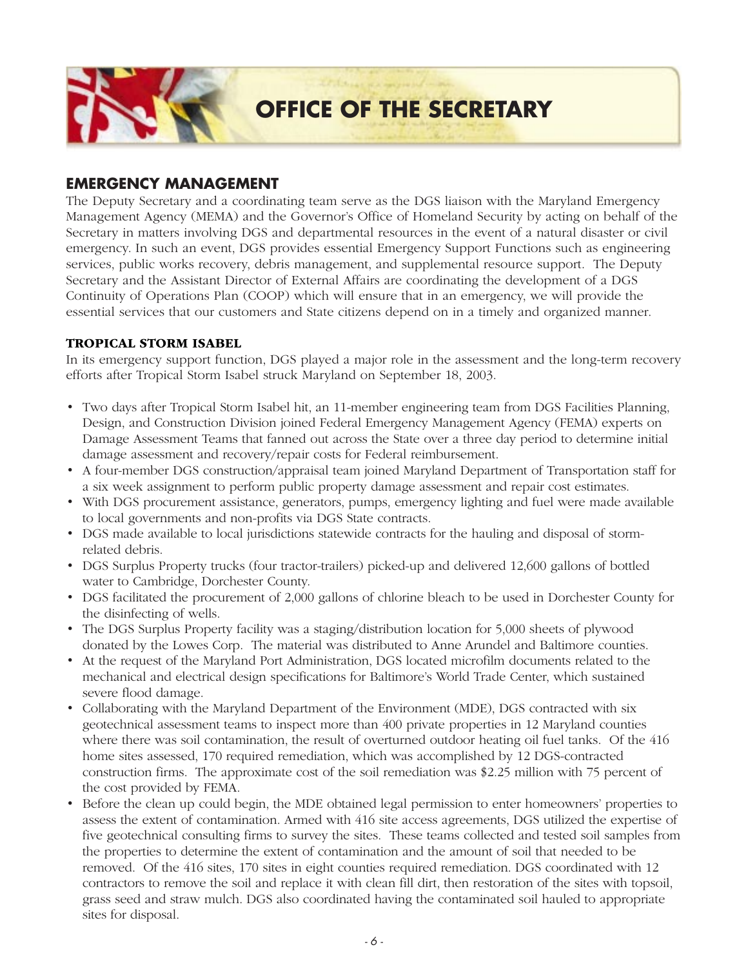

### **EMERGENCY MANAGEMENT**

The Deputy Secretary and a coordinating team serve as the DGS liaison with the Maryland Emergency Management Agency (MEMA) and the Governor's Office of Homeland Security by acting on behalf of the Secretary in matters involving DGS and departmental resources in the event of a natural disaster or civil emergency. In such an event, DGS provides essential Emergency Support Functions such as engineering services, public works recovery, debris management, and supplemental resource support. The Deputy Secretary and the Assistant Director of External Affairs are coordinating the development of a DGS Continuity of Operations Plan (COOP) which will ensure that in an emergency, we will provide the essential services that our customers and State citizens depend on in a timely and organized manner.

#### **TROPICAL STORM ISABEL**

In its emergency support function, DGS played a major role in the assessment and the long-term recovery efforts after Tropical Storm Isabel struck Maryland on September 18, 2003.

- Two days after Tropical Storm Isabel hit, an 11-member engineering team from DGS Facilities Planning, Design, and Construction Division joined Federal Emergency Management Agency (FEMA) experts on Damage Assessment Teams that fanned out across the State over a three day period to determine initial damage assessment and recovery/repair costs for Federal reimbursement.
- A four-member DGS construction/appraisal team joined Maryland Department of Transportation staff for a six week assignment to perform public property damage assessment and repair cost estimates.
- With DGS procurement assistance, generators, pumps, emergency lighting and fuel were made available to local governments and non-profits via DGS State contracts.
- DGS made available to local jurisdictions statewide contracts for the hauling and disposal of stormrelated debris.
- DGS Surplus Property trucks (four tractor-trailers) picked-up and delivered 12,600 gallons of bottled water to Cambridge, Dorchester County.
- DGS facilitated the procurement of 2,000 gallons of chlorine bleach to be used in Dorchester County for the disinfecting of wells.
- The DGS Surplus Property facility was a staging/distribution location for 5,000 sheets of plywood donated by the Lowes Corp. The material was distributed to Anne Arundel and Baltimore counties.
- At the request of the Maryland Port Administration, DGS located microfilm documents related to the mechanical and electrical design specifications for Baltimore's World Trade Center, which sustained severe flood damage.
- Collaborating with the Maryland Department of the Environment (MDE), DGS contracted with six geotechnical assessment teams to inspect more than 400 private properties in 12 Maryland counties where there was soil contamination, the result of overturned outdoor heating oil fuel tanks. Of the 416 home sites assessed, 170 required remediation, which was accomplished by 12 DGS-contracted construction firms. The approximate cost of the soil remediation was \$2.25 million with 75 percent of the cost provided by FEMA.
- Before the clean up could begin, the MDE obtained legal permission to enter homeowners' properties to assess the extent of contamination. Armed with 416 site access agreements, DGS utilized the expertise of five geotechnical consulting firms to survey the sites. These teams collected and tested soil samples from the properties to determine the extent of contamination and the amount of soil that needed to be removed. Of the 416 sites, 170 sites in eight counties required remediation. DGS coordinated with 12 contractors to remove the soil and replace it with clean fill dirt, then restoration of the sites with topsoil, grass seed and straw mulch. DGS also coordinated having the contaminated soil hauled to appropriate sites for disposal.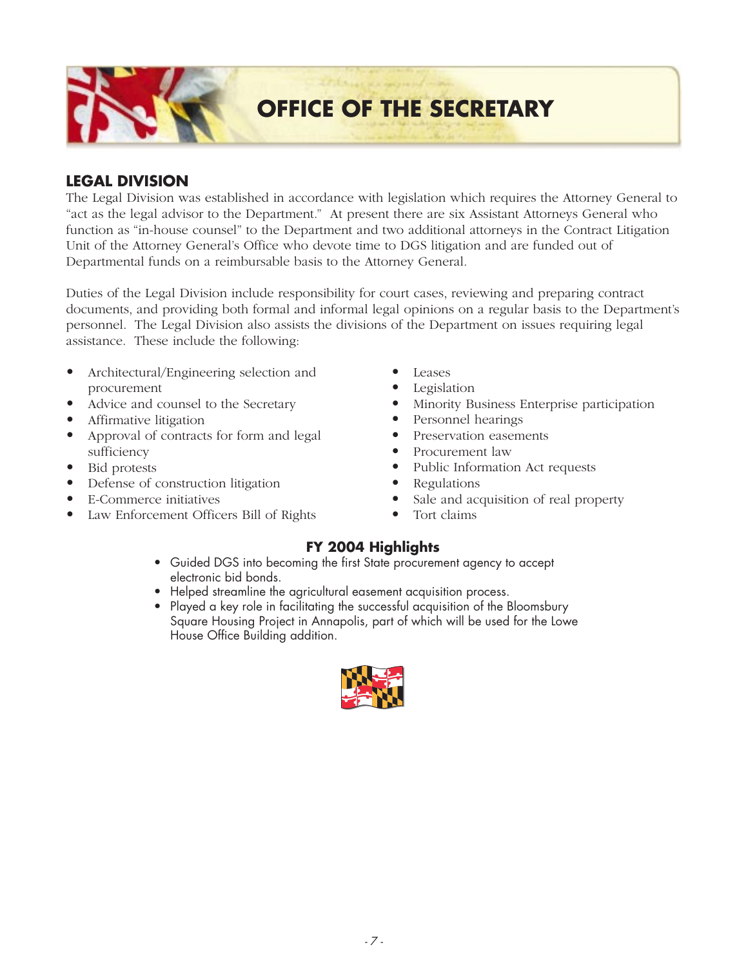**OFFICE OF THE SECRETARY**

### **LEGAL DIVISION**

The Legal Division was established in accordance with legislation which requires the Attorney General to "act as the legal advisor to the Department." At present there are six Assistant Attorneys General who function as "in-house counsel" to the Department and two additional attorneys in the Contract Litigation Unit of the Attorney General's Office who devote time to DGS litigation and are funded out of Departmental funds on a reimbursable basis to the Attorney General.

Duties of the Legal Division include responsibility for court cases, reviewing and preparing contract documents, and providing both formal and informal legal opinions on a regular basis to the Department's personnel. The Legal Division also assists the divisions of the Department on issues requiring legal assistance. These include the following:

- *•* Architectural/Engineering selection and procurement
- *•* Advice and counsel to the Secretary
- *•* Affirmative litigation
- *•* Approval of contracts for form and legal sufficiency
- *•* Bid protests
- *•* Defense of construction litigation
- *•* E-Commerce initiatives
- *•* Law Enforcement Officers Bill of Rights
- *•* Leases
- *•* Legislation
- *•* Minority Business Enterprise participation
- *•* Personnel hearings
- *•* Preservation easements
- *•* Procurement law
- *•* Public Information Act requests
- *•* Regulations
- Sale and acquisition of real property
- *•* Tort claims

- *Guided DGS into becoming the first State procurement agency to accept electronic bid bonds.*
- *Helped streamline the agricultural easement acquisition process.*
- *Played a key role in facilitating the successful acquisition of the Bloomsbury Square Housing Project in Annapolis, part of which will be used for the Lowe House Office Building addition.*

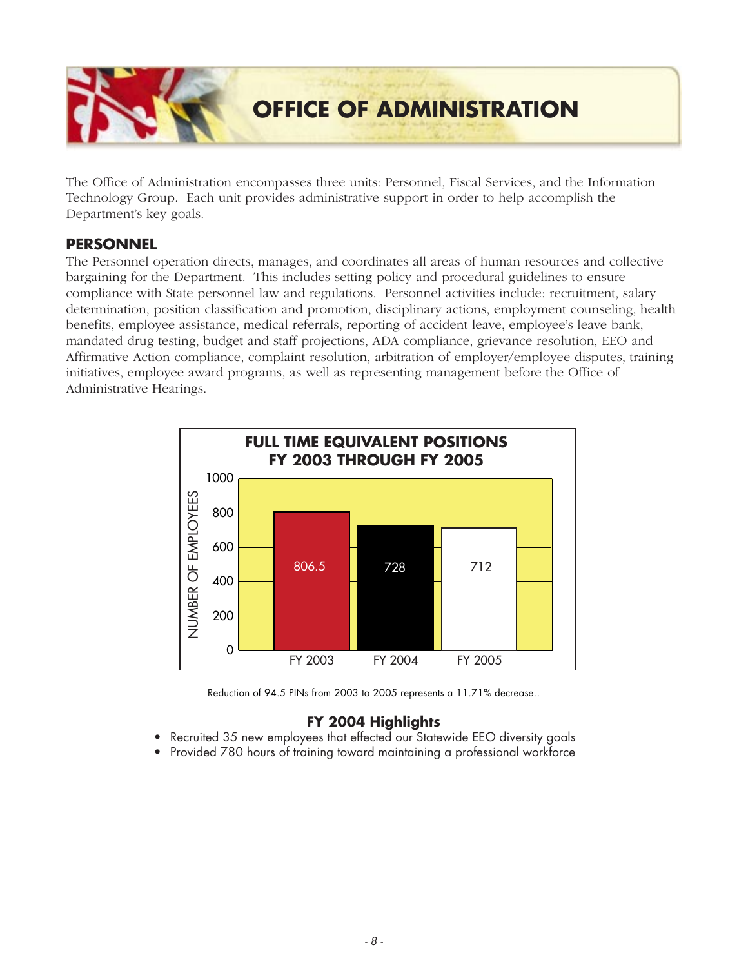

The Office of Administration encompasses three units: Personnel, Fiscal Services, and the Information Technology Group. Each unit provides administrative support in order to help accomplish the Department's key goals.

### **PERSONNEL**

The Personnel operation directs, manages, and coordinates all areas of human resources and collective bargaining for the Department. This includes setting policy and procedural guidelines to ensure compliance with State personnel law and regulations. Personnel activities include: recruitment, salary determination, position classification and promotion, disciplinary actions, employment counseling, health benefits, employee assistance, medical referrals, reporting of accident leave, employee's leave bank, mandated drug testing, budget and staff projections, ADA compliance, grievance resolution, EEO and Affirmative Action compliance, complaint resolution, arbitration of employer/employee disputes, training initiatives, employee award programs, as well as representing management before the Office of Administrative Hearings.



*Reduction of 94.5 PINs from 2003 to 2005 represents a 11.71% decrease..*

- *Recruited 35 new employees that effected our Statewide EEO diversity goals*
- *Provided 780 hours of training toward maintaining a professional workforce*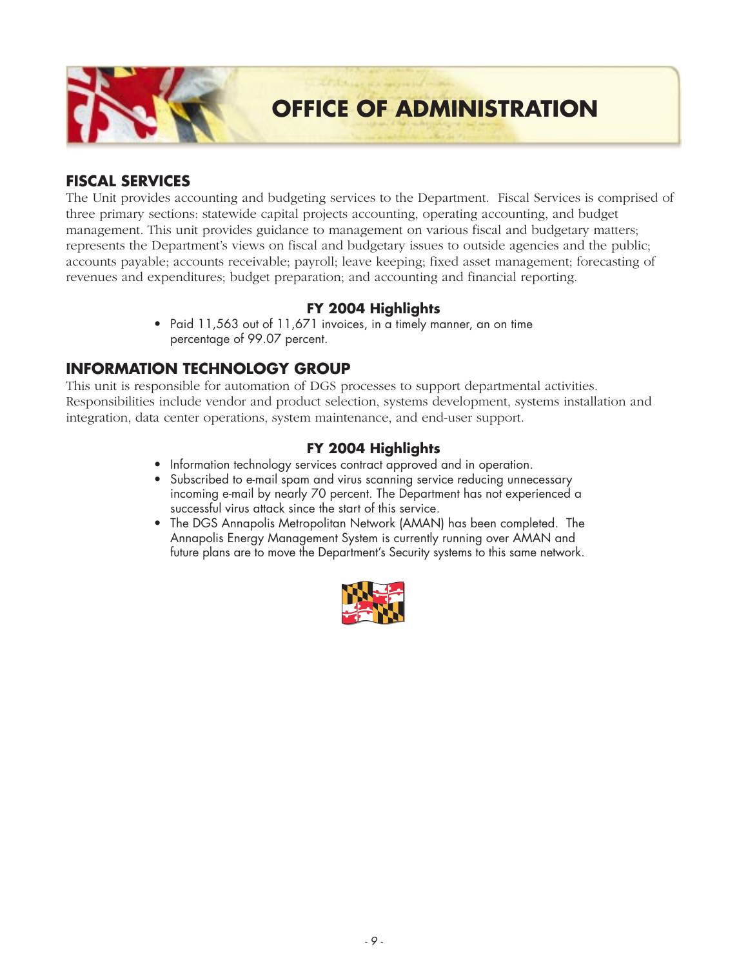

### **FISCAL SERVICES**

The Unit provides accounting and budgeting services to the Department. Fiscal Services is comprised of three primary sections: statewide capital projects accounting, operating accounting, and budget management. This unit provides guidance to management on various fiscal and budgetary matters; represents the Department's views on fiscal and budgetary issues to outside agencies and the public; accounts payable; accounts receivable; payroll; leave keeping; fixed asset management; forecasting of revenues and expenditures; budget preparation; and accounting and financial reporting.

### **FY 2004 Highlights**

*• Paid 11,563 out of 11,671 invoices, in a timely manner, an on time percentage of 99.07 percent.*

### **INFORMATION TECHNOLOGY GROUP**

This unit is responsible for automation of DGS processes to support departmental activities. Responsibilities include vendor and product selection, systems development, systems installation and integration, data center operations, system maintenance, and end-user support.

- *Information technology services contract approved and in operation.*
- *Subscribed to e-mail spam and virus scanning service reducing unnecessary incoming e-mail by nearly 70 percent. The Department has not experienced a successful virus attack since the start of this service.*
- *The DGS Annapolis Metropolitan Network (AMAN) has been completed. The Annapolis Energy Management System is currently running over AMAN and future plans are to move the Department's Security systems to this same network.*

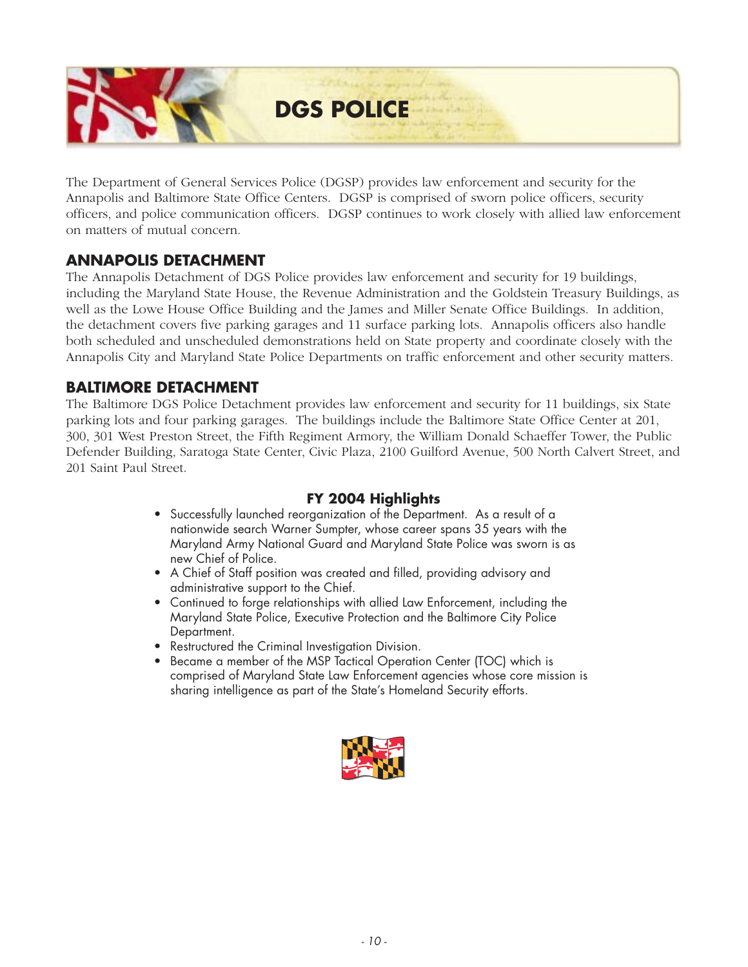

The Department of General Services Police (DGSP) provides law enforcement and security for the Annapolis and Baltimore State Office Centers. DGSP is comprised of sworn police officers, security officers, and police communication officers. DGSP continues to work closely with allied law enforcement on matters of mutual concern.

### **ANNAPOLIS DETACHMENT**

The Annapolis Detachment of DGS Police provides law enforcement and security for 19 buildings, including the Maryland State House, the Revenue Administration and the Goldstein Treasury Buildings, as well as the Lowe House Office Building and the James and Miller Senate Office Buildings. In addition, the detachment covers five parking garages and 11 surface parking lots. Annapolis officers also handle both scheduled and unscheduled demonstrations held on State property and coordinate closely with the Annapolis City and Maryland State Police Departments on traffic enforcement and other security matters.

### **BALTIMORE DETACHMENT**

The Baltimore DGS Police Detachment provides law enforcement and security for 11 buildings, six State parking lots and four parking garages. The buildings include the Baltimore State Office Center at 201, 300, 301 West Preston Street, the Fifth Regiment Armory, the William Donald Schaeffer Tower, the Public Defender Building, Saratoga State Center, Civic Plaza, 2100 Guilford Avenue, 500 North Calvert Street, and 201 Saint Paul Street.

- *Successfully launched reorganization of the Department. As a result of a nationwide search Warner Sumpter, whose career spans 35 years with the Maryland Army National Guard and Maryland State Police was sworn is as new Chief of Police.*
- *A Chief of Staff position was created and filled, providing advisory and administrative support to the Chief.*
- *Continued to forge relationships with allied Law Enforcement, including the Maryland State Police, Executive Protection and the Baltimore City Police Department.*
- *Restructured the Criminal Investigation Division.*
- *Became a member of the MSP Tactical Operation Center (TOC) which is comprised of Maryland State Law Enforcement agencies whose core mission is sharing intelligence as part of the State's Homeland Security efforts.*

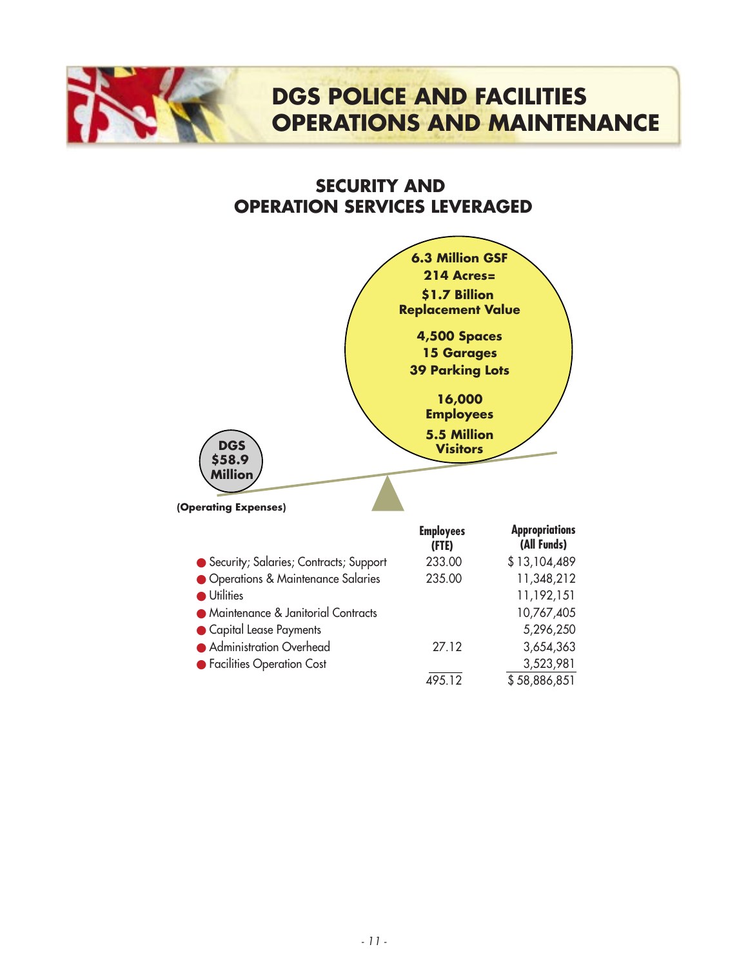### **DGS POLICE AND FACILITIES OPERATIONS AND MAINTENANCE**

### **SECURITY AND OPERATION SERVICES LEVERAGED**



| Security; Salaries; Contracts; Support | 233.00 | \$13,104,489 |
|----------------------------------------|--------|--------------|
| • Operations & Maintenance Salaries    | 235.00 | 11,348,212   |
| <b>Utilities</b>                       |        | 11,192,151   |
| • Maintenance & Janitorial Contracts   |        | 10,767,405   |
| Capital Lease Payments                 |        | 5,296,250    |
| • Administration Overhead              | 27.12  | 3,654,363    |
| • Facilities Operation Cost            |        | 3,523,981    |
|                                        | 495.12 | \$58,886,851 |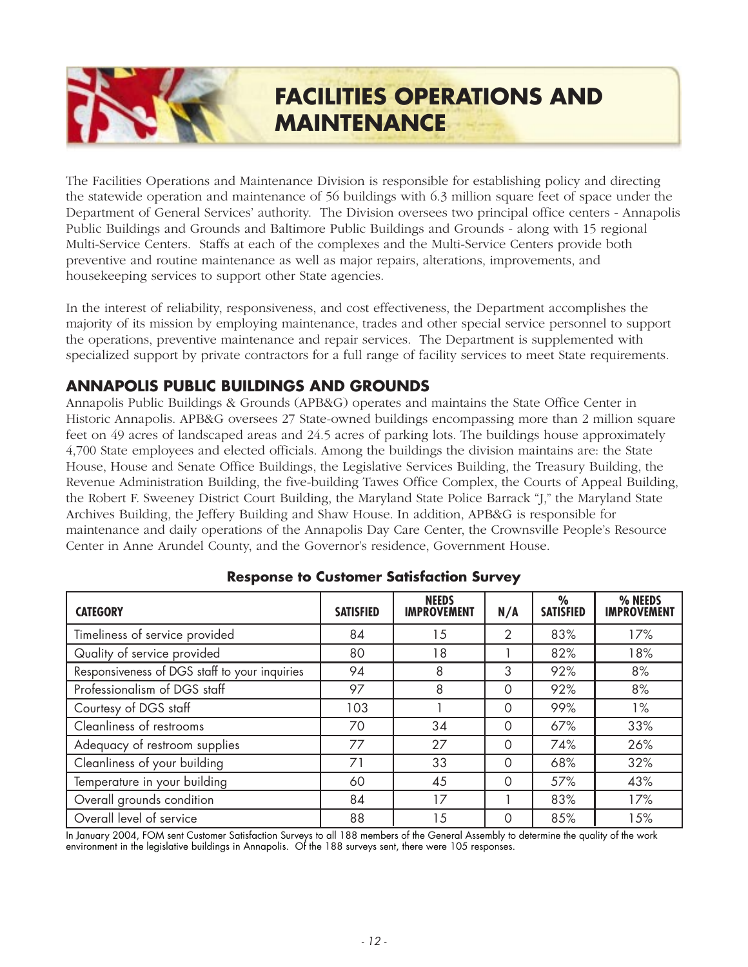### **FACILITIES OPERATIONS AND MAINTENANCE**

The Facilities Operations and Maintenance Division is responsible for establishing policy and directing the statewide operation and maintenance of 56 buildings with 6.3 million square feet of space under the Department of General Services' authority. The Division oversees two principal office centers - Annapolis Public Buildings and Grounds and Baltimore Public Buildings and Grounds - along with 15 regional Multi-Service Centers. Staffs at each of the complexes and the Multi-Service Centers provide both preventive and routine maintenance as well as major repairs, alterations, improvements, and housekeeping services to support other State agencies.

In the interest of reliability, responsiveness, and cost effectiveness, the Department accomplishes the majority of its mission by employing maintenance, trades and other special service personnel to support the operations, preventive maintenance and repair services. The Department is supplemented with specialized support by private contractors for a full range of facility services to meet State requirements.

### **ANNAPOLIS PUBLIC BUILDINGS AND GROUNDS**

Annapolis Public Buildings & Grounds (APB&G) operates and maintains the State Office Center in Historic Annapolis. APB&G oversees 27 State-owned buildings encompassing more than 2 million square feet on 49 acres of landscaped areas and 24.5 acres of parking lots. The buildings house approximately 4,700 State employees and elected officials. Among the buildings the division maintains are: the State House, House and Senate Office Buildings, the Legislative Services Building, the Treasury Building, the Revenue Administration Building, the five-building Tawes Office Complex, the Courts of Appeal Building, the Robert F. Sweeney District Court Building, the Maryland State Police Barrack "J," the Maryland State Archives Building, the Jeffery Building and Shaw House. In addition, APB&G is responsible for maintenance and daily operations of the Annapolis Day Care Center, the Crownsville People's Resource Center in Anne Arundel County, and the Governor's residence, Government House.

| <b>CATEGORY</b>                               | <b>SATISFIED</b> | <b>NEEDS</b><br><b>IMPROVEMENT</b> | N/A      | $\frac{0}{0}$<br><b>SATISFIED</b> | % NEEDS<br><b>IMPROVEMENT</b> |
|-----------------------------------------------|------------------|------------------------------------|----------|-----------------------------------|-------------------------------|
| Timeliness of service provided                | 84               | 15                                 | 2        | 83%                               | 17%                           |
| Quality of service provided                   | 80               | 18                                 |          | 82%                               | 18%                           |
| Responsiveness of DGS staff to your inquiries | 94               | 8                                  | 3        | 92%                               | 8%                            |
| Professionalism of DGS staff                  | 97               | 8                                  | $\circ$  | 92%                               | 8%                            |
| Courtesy of DGS staff                         | 103              |                                    | $\Omega$ | 99%                               | $1\%$                         |
| Cleanliness of restrooms                      | 70               | 34                                 | $\Omega$ | 67%                               | 33%                           |
| Adequacy of restroom supplies                 | 77               | 27                                 | $\Omega$ | 74%                               | 26%                           |
| Cleanliness of your building                  | 71               | 33                                 | $\Omega$ | 68%                               | 32%                           |
| Temperature in your building                  | 60               | 45                                 | $\Omega$ | 57%                               | 43%                           |
| Overall grounds condition                     | 84               | 17                                 |          | 83%                               | 17%                           |
| Overall level of service                      | 88               | 15                                 | 0        | 85%                               | 15%                           |

### **Response to Customer Satisfaction Survey**

*In January 2004, FOM sent Customer Satisfaction Surveys to all 188 members of the General Assembly to determine the quality of the work environment in the legislative buildings in Annapolis. Of the 188 surveys sent, there were 105 responses.*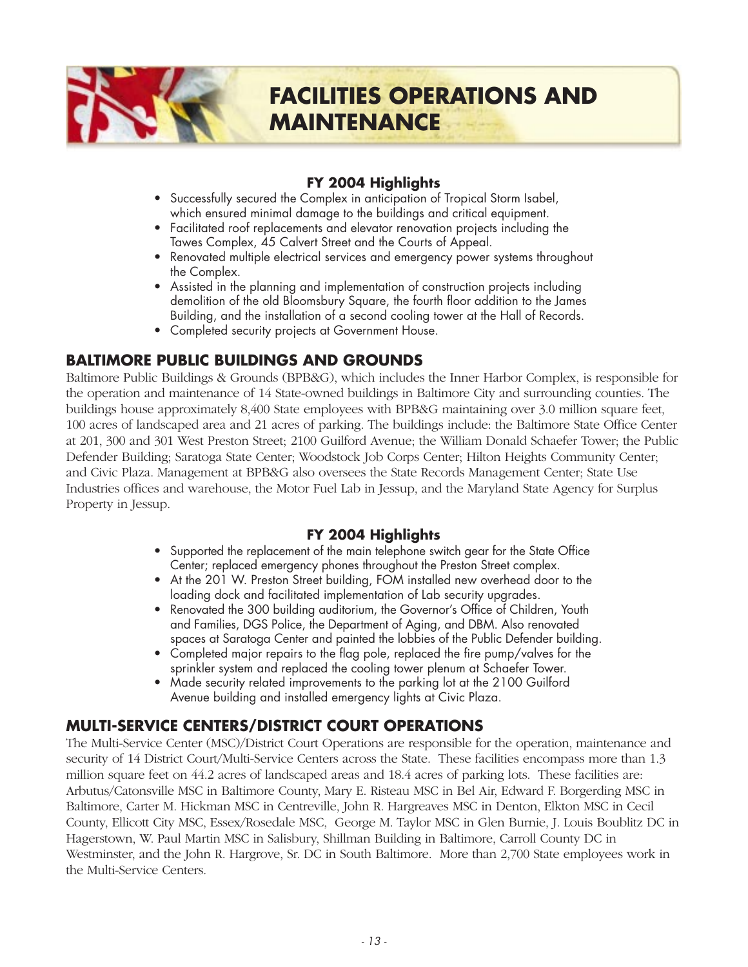### **FY 2004 Highlights**

- *Successfully secured the Complex in anticipation of Tropical Storm Isabel, which ensured minimal damage to the buildings and critical equipment.*
- *Facilitated roof replacements and elevator renovation projects including the Tawes Complex, 45 Calvert Street and the Courts of Appeal.*
- *Renovated multiple electrical services and emergency power systems throughout the Complex.*
- *Assisted in the planning and implementation of construction projects including demolition of the old Bloomsbury Square, the fourth floor addition to the James Building, and the installation of a second cooling tower at the Hall of Records.*
- *Completed security projects at Government House.*

### **BALTIMORE PUBLIC BUILDINGS AND GROUNDS**

Baltimore Public Buildings & Grounds (BPB&G), which includes the Inner Harbor Complex, is responsible for the operation and maintenance of 14 State-owned buildings in Baltimore City and surrounding counties. The buildings house approximately 8,400 State employees with BPB&G maintaining over 3.0 million square feet, 100 acres of landscaped area and 21 acres of parking. The buildings include: the Baltimore State Office Center at 201, 300 and 301 West Preston Street; 2100 Guilford Avenue; the William Donald Schaefer Tower; the Public Defender Building; Saratoga State Center; Woodstock Job Corps Center; Hilton Heights Community Center; and Civic Plaza. Management at BPB&G also oversees the State Records Management Center; State Use Industries offices and warehouse, the Motor Fuel Lab in Jessup, and the Maryland State Agency for Surplus Property in Jessup.

### **FY 2004 Highlights**

- *Supported the replacement of the main telephone switch gear for the State Office Center; replaced emergency phones throughout the Preston Street complex.*
- At the 201 W. Preston Street building, FOM installed new overhead door to the *loading dock and facilitated implementation of Lab security upgrades.*
- *Renovated the 300 building auditorium, the Governor's Office of Children, Youth and Families, DGS Police, the Department of Aging, and DBM. Also renovated spaces at Saratoga Center and painted the lobbies of the Public Defender building.*
- Completed major repairs to the flag pole, replaced the fire pump/valves for the *sprinkler system and replaced the cooling tower plenum at Schaefer Tower.*
- *Made security related improvements to the parking lot at the 2100 Guilford Avenue building and installed emergency lights at Civic Plaza.*

### **MULTI-SERVICE CENTERS/DISTRICT COURT OPERATIONS**

The Multi-Service Center (MSC)/District Court Operations are responsible for the operation, maintenance and security of 14 District Court/Multi-Service Centers across the State. These facilities encompass more than 1.3 million square feet on 44.2 acres of landscaped areas and 18.4 acres of parking lots. These facilities are: Arbutus/Catonsville MSC in Baltimore County, Mary E. Risteau MSC in Bel Air, Edward F. Borgerding MSC in Baltimore, Carter M. Hickman MSC in Centreville, John R. Hargreaves MSC in Denton, Elkton MSC in Cecil County, Ellicott City MSC, Essex/Rosedale MSC, George M. Taylor MSC in Glen Burnie, J. Louis Boublitz DC in Hagerstown, W. Paul Martin MSC in Salisbury, Shillman Building in Baltimore, Carroll County DC in Westminster, and the John R. Hargrove, Sr. DC in South Baltimore. More than 2,700 State employees work in the Multi-Service Centers.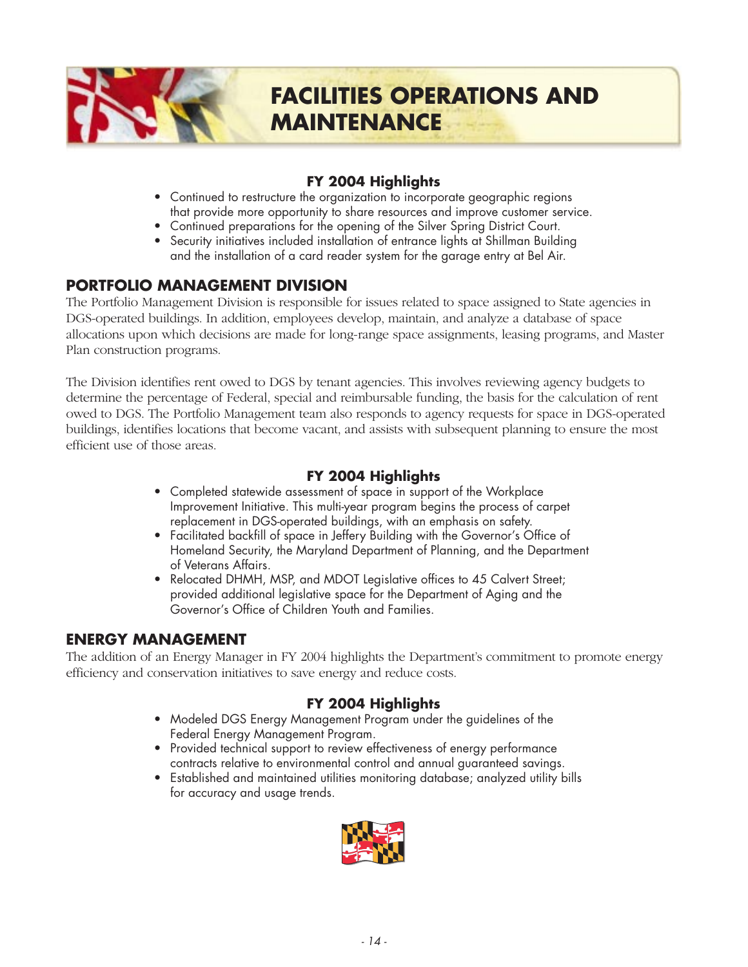

### **FACILITIES OPERATIONS AND MAINTENANCE**

### **FY 2004 Highlights**

- *Continued to restructure the organization to incorporate geographic regions that provide more opportunity to share resources and improve customer service.*
- *Continued preparations for the opening of the Silver Spring District Court.*
- *Security initiatives included installation of entrance lights at Shillman Building and the installation of a card reader system for the garage entry at Bel Air.*

### **PORTFOLIO MANAGEMENT DIVISION**

The Portfolio Management Division is responsible for issues related to space assigned to State agencies in DGS-operated buildings. In addition, employees develop, maintain, and analyze a database of space allocations upon which decisions are made for long-range space assignments, leasing programs, and Master Plan construction programs.

The Division identifies rent owed to DGS by tenant agencies. This involves reviewing agency budgets to determine the percentage of Federal, special and reimbursable funding, the basis for the calculation of rent owed to DGS. The Portfolio Management team also responds to agency requests for space in DGS-operated buildings, identifies locations that become vacant, and assists with subsequent planning to ensure the most efficient use of those areas.

### **FY 2004 Highlights**

- *Completed statewide assessment of space in support of the Workplace Improvement Initiative. This multi-year program begins the process of carpet replacement in DGS-operated buildings, with an emphasis on safety.*
- *Facilitated backfill of space in Jeffery Building with the Governor's Office of Homeland Security, the Maryland Department of Planning, and the Department of Veterans Affairs.*
- *Relocated DHMH, MSP, and MDOT Legislative offices to 45 Calvert Street; provided additional legislative space for the Department of Aging and the Governor's Office of Children Youth and Families.*

### **ENERGY MANAGEMENT**

The addition of an Energy Manager in FY 2004 highlights the Department's commitment to promote energy efficiency and conservation initiatives to save energy and reduce costs.

- *Modeled DGS Energy Management Program under the guidelines of the Federal Energy Management Program.*
- *Provided technical support to review effectiveness of energy performance contracts relative to environmental control and annual guaranteed savings.*
- *Established and maintained utilities monitoring database; analyzed utility bills for accuracy and usage trends.*

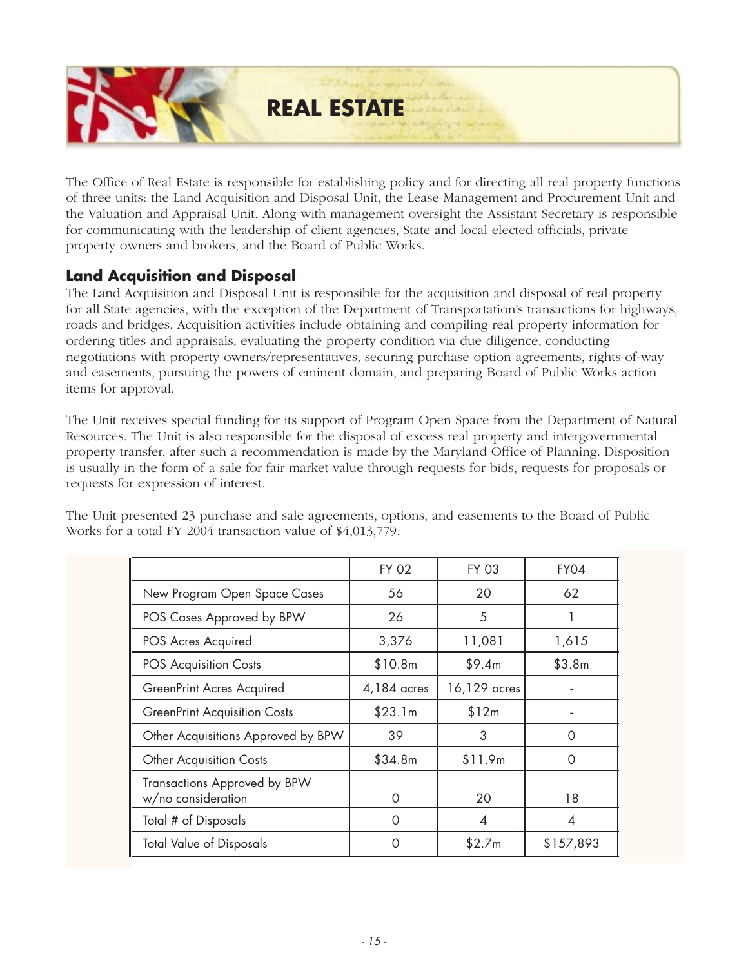

The Office of Real Estate is responsible for establishing policy and for directing all real property functions of three units: the Land Acquisition and Disposal Unit, the Lease Management and Procurement Unit and the Valuation and Appraisal Unit. Along with management oversight the Assistant Secretary is responsible for communicating with the leadership of client agencies, State and local elected officials, private property owners and brokers, and the Board of Public Works.

### **Land Acquisition and Disposal**

The Land Acquisition and Disposal Unit is responsible for the acquisition and disposal of real property for all State agencies, with the exception of the Department of Transportation's transactions for highways, roads and bridges. Acquisition activities include obtaining and compiling real property information for ordering titles and appraisals, evaluating the property condition via due diligence, conducting negotiations with property owners/representatives, securing purchase option agreements, rights-of-way and easements, pursuing the powers of eminent domain, and preparing Board of Public Works action items for approval.

The Unit receives special funding for its support of Program Open Space from the Department of Natural Resources. The Unit is also responsible for the disposal of excess real property and intergovernmental property transfer, after such a recommendation is made by the Maryland Office of Planning. Disposition is usually in the form of a sale for fair market value through requests for bids, requests for proposals or requests for expression of interest.

The Unit presented 23 purchase and sale agreements, options, and easements to the Board of Public Works for a total FY 2004 transaction value of \$4,013,779.

|                                                    | <b>FY 02</b> | <b>FY 03</b> | FY04      |
|----------------------------------------------------|--------------|--------------|-----------|
| New Program Open Space Cases                       | 56           | 20           | 62        |
| POS Cases Approved by BPW                          | 26           | 5            |           |
| POS Acres Acquired                                 | 3,376        | 11,081       | 1,615     |
| POS Acquisition Costs                              | \$10.8m      | \$9.4m       | \$3.8m    |
| GreenPrint Acres Acquired                          | 4,184 acres  | 16,129 acres |           |
| <b>GreenPrint Acquisition Costs</b>                | \$23.1m      | \$12m        |           |
| Other Acquisitions Approved by BPW                 | 39           | 3            | Ω         |
| <b>Other Acquisition Costs</b>                     | \$34.8m      | \$11.9m      | ∩         |
| Transactions Approved by BPW<br>w/no consideration | $\Omega$     | 20           | 18        |
| Total # of Disposals                               | $\Omega$     | 4            | 4         |
| <b>Total Value of Disposals</b>                    | $\Omega$     | \$2.7m       | \$157,893 |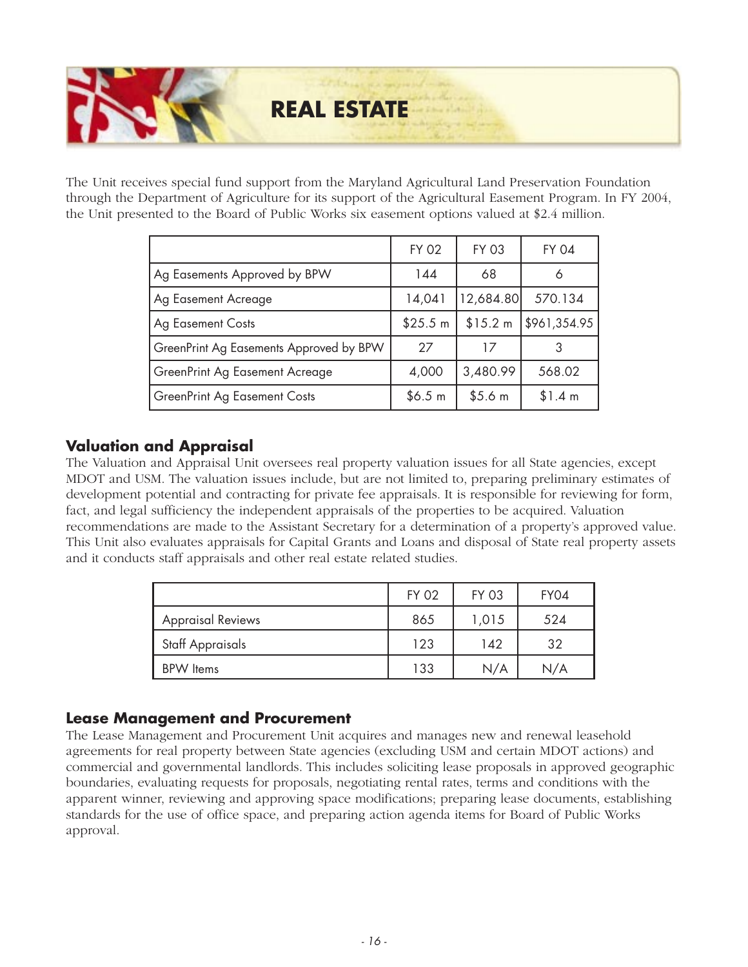

The Unit receives special fund support from the Maryland Agricultural Land Preservation Foundation through the Department of Agriculture for its support of the Agricultural Easement Program. In FY 2004, the Unit presented to the Board of Public Works six easement options valued at \$2.4 million.

|                                         | <b>FY 02</b> | <b>FY 03</b> | <b>FY 04</b> |
|-----------------------------------------|--------------|--------------|--------------|
| Ag Easements Approved by BPW            | 144          | 68           | 6            |
| Ag Easement Acreage                     | 14,041       | 12,684.80    | 570.134      |
| <b>Ag Easement Costs</b>                | \$25.5 m     | \$15.2 m     | \$961,354.95 |
| GreenPrint Ag Easements Approved by BPW | 27           | 17           |              |
| GreenPrint Ag Easement Acreage          | 4,000        | 3,480.99     | 568.02       |
| GreenPrint Ag Easement Costs            | \$6.5 m      | \$5.6 m      | \$1.4 m      |

### **Valuation and Appraisal**

The Valuation and Appraisal Unit oversees real property valuation issues for all State agencies, except MDOT and USM. The valuation issues include, but are not limited to, preparing preliminary estimates of development potential and contracting for private fee appraisals. It is responsible for reviewing for form, fact, and legal sufficiency the independent appraisals of the properties to be acquired. Valuation recommendations are made to the Assistant Secretary for a determination of a property's approved value. This Unit also evaluates appraisals for Capital Grants and Loans and disposal of State real property assets and it conducts staff appraisals and other real estate related studies.

|                          | <b>FY 02</b> | <b>FY 03</b> | FY04 |
|--------------------------|--------------|--------------|------|
| <b>Appraisal Reviews</b> | 865          | 1,015        | 524  |
| Staff Appraisals         | 123          | 142          | 32   |
| <b>BPW</b> Items         | 133          | N/A          | N/A  |

### **Lease Management and Procurement**

The Lease Management and Procurement Unit acquires and manages new and renewal leasehold agreements for real property between State agencies (excluding USM and certain MDOT actions) and commercial and governmental landlords. This includes soliciting lease proposals in approved geographic boundaries, evaluating requests for proposals, negotiating rental rates, terms and conditions with the apparent winner, reviewing and approving space modifications; preparing lease documents, establishing standards for the use of office space, and preparing action agenda items for Board of Public Works approval.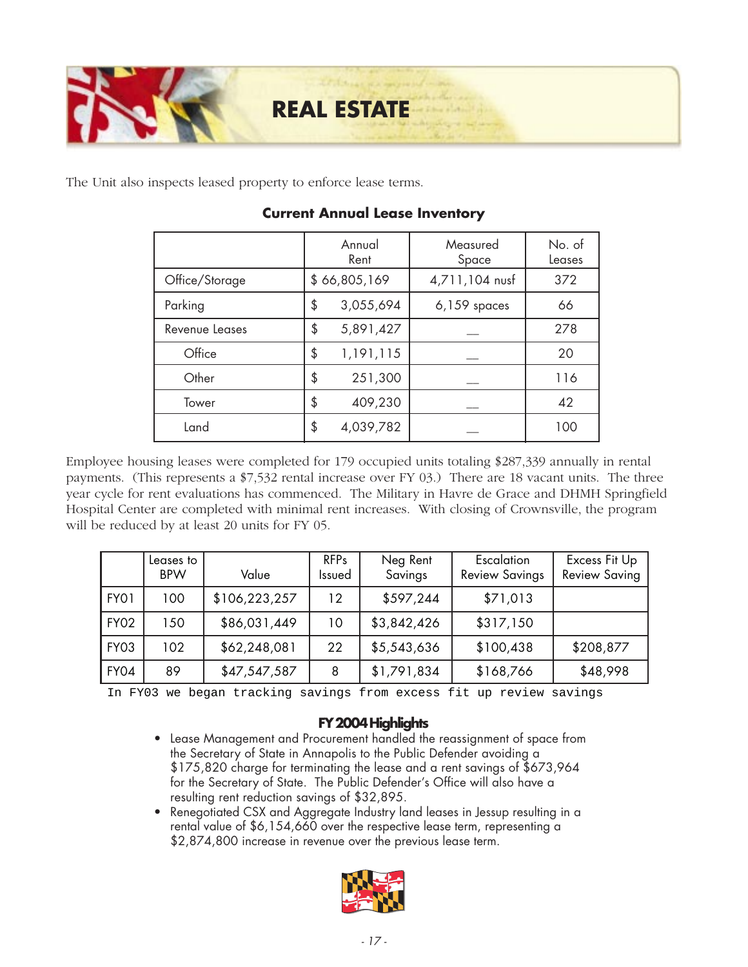

The Unit also inspects leased property to enforce lease terms.

|                | Annual<br>Rent |           | Measured<br>Space | No. of<br>Leases |
|----------------|----------------|-----------|-------------------|------------------|
| Office/Storage | \$66,805,169   |           | 4,711,104 nusf    | 372              |
| Parking        | \$             | 3,055,694 | $6,159$ spaces    | 66               |
| Revenue Leases | \$             | 5,891,427 |                   | 278              |
| Office         | \$             | 1,191,115 |                   | 20               |
| Other          | \$             | 251,300   |                   | 116              |
| Tower          | \$             | 409,230   |                   | 42               |
| Land           | \$             | 4,039,782 |                   | 100              |

### **Current Annual Lease Inventory**

Employee housing leases were completed for 179 occupied units totaling \$287,339 annually in rental payments. (This represents a \$7,532 rental increase over FY 03.) There are 18 vacant units. The three year cycle for rent evaluations has commenced. The Military in Havre de Grace and DHMH Springfield Hospital Center are completed with minimal rent increases. With closing of Crownsville, the program will be reduced by at least 20 units for FY 05.

|             | Leases to<br><b>BPW</b> | Value         | <b>RFPs</b><br>Issued | Neg Rent<br>Savings | Escalation<br><b>Review Savings</b> | Excess Fit Up<br><b>Review Saving</b> |
|-------------|-------------------------|---------------|-----------------------|---------------------|-------------------------------------|---------------------------------------|
| FY01        | 100                     | \$106,223,257 | 12 <sup>°</sup>       | \$597,244           | \$71,013                            |                                       |
| <b>FY02</b> | 150                     | \$86,031,449  | 10                    | \$3,842,426         | \$317,150                           |                                       |
| <b>FY03</b> | 102                     | \$62,248,081  | 22                    | \$5,543,636         | \$100,438                           | \$208,877                             |
| <b>FY04</b> | 89                      | \$47,547,587  | 8                     | \$1,791,834         | \$168,766                           | \$48,998                              |

In FY03 we began tracking savings from excess fit up review savings

- *Lease Management and Procurement handled the reassignment of space from the Secretary of State in Annapolis to the Public Defender avoiding a \$175,820 charge for terminating the lease and a rent savings of \$673,964 for the Secretary of State. The Public Defender's Office will also have a resulting rent reduction savings of \$32,895.*
- *Renegotiated CSX and Aggregate Industry land leases in Jessup resulting in a rental value of \$6,154,660 over the respective lease term, representing a \$2,874,800 increase in revenue over the previous lease term.*

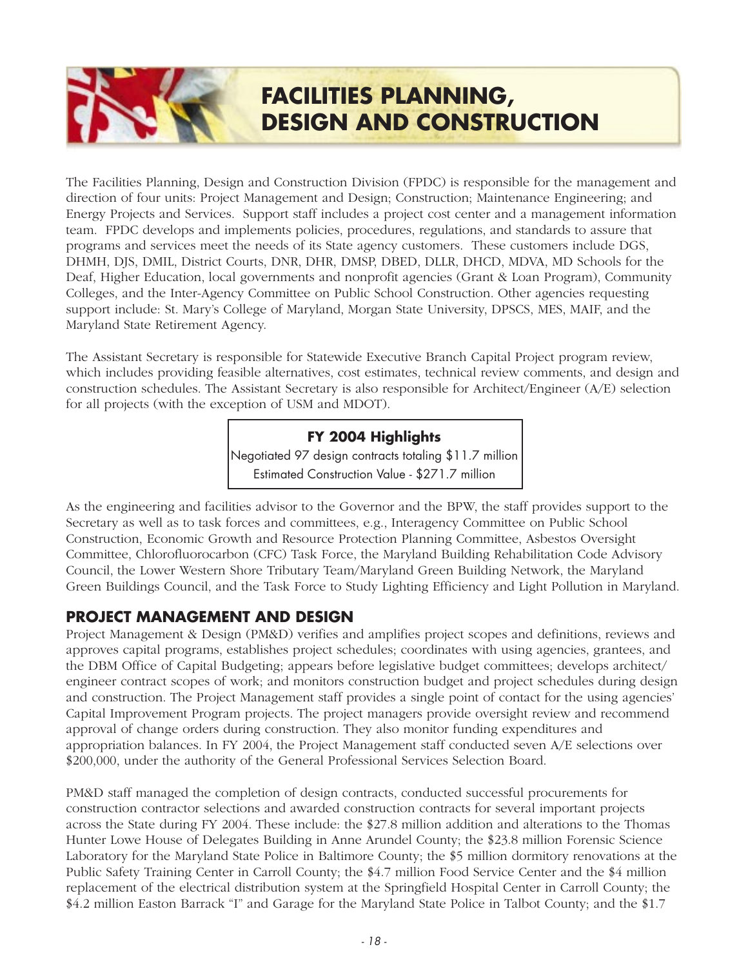## **FACILITIES PLANNING, DESIGN AND CONSTRUCTION**

The Facilities Planning, Design and Construction Division (FPDC) is responsible for the management and direction of four units: Project Management and Design; Construction; Maintenance Engineering; and Energy Projects and Services. Support staff includes a project cost center and a management information team. FPDC develops and implements policies, procedures, regulations, and standards to assure that programs and services meet the needs of its State agency customers. These customers include DGS, DHMH, DJS, DMIL, District Courts, DNR, DHR, DMSP, DBED, DLLR, DHCD, MDVA, MD Schools for the Deaf, Higher Education, local governments and nonprofit agencies (Grant & Loan Program), Community Colleges, and the Inter-Agency Committee on Public School Construction. Other agencies requesting support include: St. Mary's College of Maryland, Morgan State University, DPSCS, MES, MAIF, and the Maryland State Retirement Agency.

The Assistant Secretary is responsible for Statewide Executive Branch Capital Project program review, which includes providing feasible alternatives, cost estimates, technical review comments, and design and construction schedules. The Assistant Secretary is also responsible for Architect/Engineer (A/E) selection for all projects (with the exception of USM and MDOT).

### **FY 2004 Highlights**

*Negotiated 97 design contracts totaling \$11.7 million Estimated Construction Value - \$271.7 million*

As the engineering and facilities advisor to the Governor and the BPW, the staff provides support to the Secretary as well as to task forces and committees, e.g., Interagency Committee on Public School Construction, Economic Growth and Resource Protection Planning Committee, Asbestos Oversight Committee, Chlorofluorocarbon (CFC) Task Force, the Maryland Building Rehabilitation Code Advisory Council, the Lower Western Shore Tributary Team/Maryland Green Building Network, the Maryland Green Buildings Council, and the Task Force to Study Lighting Efficiency and Light Pollution in Maryland.

### **PROJECT MANAGEMENT AND DESIGN**

Project Management & Design (PM&D) verifies and amplifies project scopes and definitions, reviews and approves capital programs, establishes project schedules; coordinates with using agencies, grantees, and the DBM Office of Capital Budgeting; appears before legislative budget committees; develops architect/ engineer contract scopes of work; and monitors construction budget and project schedules during design and construction. The Project Management staff provides a single point of contact for the using agencies' Capital Improvement Program projects. The project managers provide oversight review and recommend approval of change orders during construction. They also monitor funding expenditures and appropriation balances. In FY 2004, the Project Management staff conducted seven A/E selections over \$200,000, under the authority of the General Professional Services Selection Board.

PM&D staff managed the completion of design contracts, conducted successful procurements for construction contractor selections and awarded construction contracts for several important projects across the State during FY 2004. These include: the \$27.8 million addition and alterations to the Thomas Hunter Lowe House of Delegates Building in Anne Arundel County; the \$23.8 million Forensic Science Laboratory for the Maryland State Police in Baltimore County; the \$5 million dormitory renovations at the Public Safety Training Center in Carroll County; the \$4.7 million Food Service Center and the \$4 million replacement of the electrical distribution system at the Springfield Hospital Center in Carroll County; the \$4.2 million Easton Barrack "I" and Garage for the Maryland State Police in Talbot County; and the \$1.7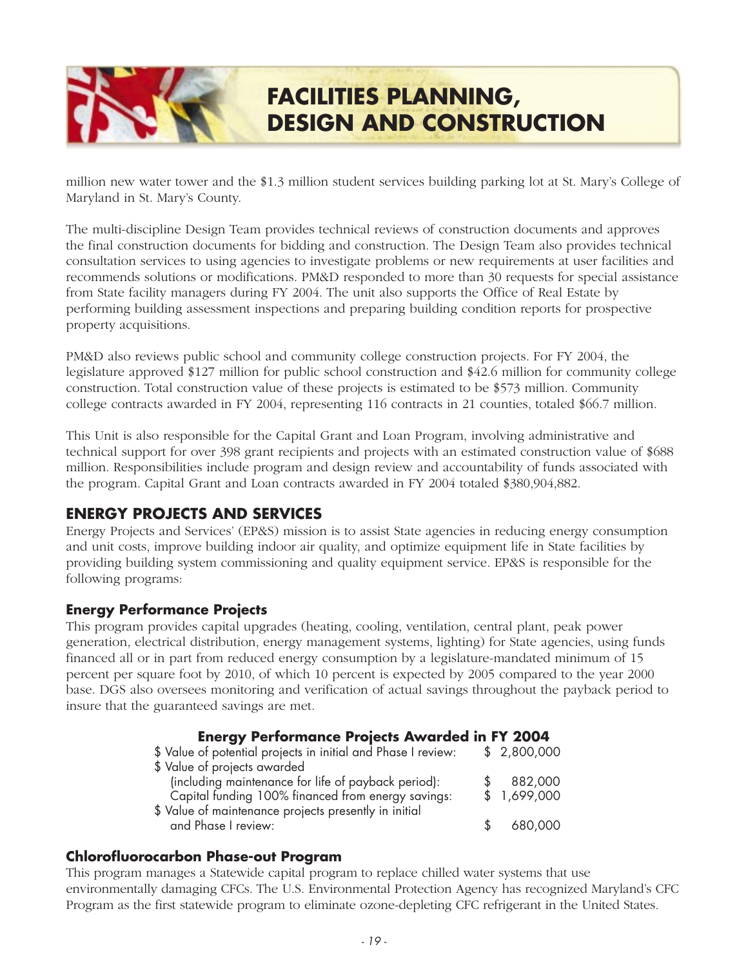## **FACILITIES PLANNING, DESIGN AND CONSTRUCTION**

million new water tower and the \$1.3 million student services building parking lot at St. Mary's College of Maryland in St. Mary's County.

The multi-discipline Design Team provides technical reviews of construction documents and approves the final construction documents for bidding and construction. The Design Team also provides technical consultation services to using agencies to investigate problems or new requirements at user facilities and recommends solutions or modifications. PM&D responded to more than 30 requests for special assistance from State facility managers during FY 2004. The unit also supports the Office of Real Estate by performing building assessment inspections and preparing building condition reports for prospective property acquisitions.

PM&D also reviews public school and community college construction projects. For FY 2004, the legislature approved \$127 million for public school construction and \$42.6 million for community college construction. Total construction value of these projects is estimated to be \$573 million. Community college contracts awarded in FY 2004, representing 116 contracts in 21 counties, totaled \$66.7 million.

This Unit is also responsible for the Capital Grant and Loan Program, involving administrative and technical support for over 398 grant recipients and projects with an estimated construction value of \$688 million. Responsibilities include program and design review and accountability of funds associated with the program. Capital Grant and Loan contracts awarded in FY 2004 totaled \$380,904,882.

### **ENERGY PROJECTS AND SERVICES**

Energy Projects and Services' (EP&S) mission is to assist State agencies in reducing energy consumption and unit costs, improve building indoor air quality, and optimize equipment life in State facilities by providing building system commissioning and quality equipment service. EP&S is responsible for the following programs:

### **Energy Performance Projects**

This program provides capital upgrades (heating, cooling, ventilation, central plant, peak power generation, electrical distribution, energy management systems, lighting) for State agencies, using funds financed all or in part from reduced energy consumption by a legislature-mandated minimum of 15 percent per square foot by 2010, of which 10 percent is expected by 2005 compared to the year 2000 base. DGS also oversees monitoring and verification of actual savings throughout the payback period to insure that the guaranteed savings are met.

| <b>Energy Performance Projects Awarded in FY 2004</b>         |             |
|---------------------------------------------------------------|-------------|
| \$ Value of potential projects in initial and Phase I review: | \$2,800,000 |
| \$ Value of projects awarded                                  |             |
| (including maintenance for life of payback period):           | 882,000     |
| Capital funding 100% financed from energy savings:            | \$1,699,000 |
| \$ Value of maintenance projects presently in initial         |             |
| and Phase I review:                                           | 680,000     |

### **Chlorofluorocarbon Phase-out Program**

This program manages a Statewide capital program to replace chilled water systems that use environmentally damaging CFCs. The U.S. Environmental Protection Agency has recognized Maryland's CFC Program as the first statewide program to eliminate ozone-depleting CFC refrigerant in the United States.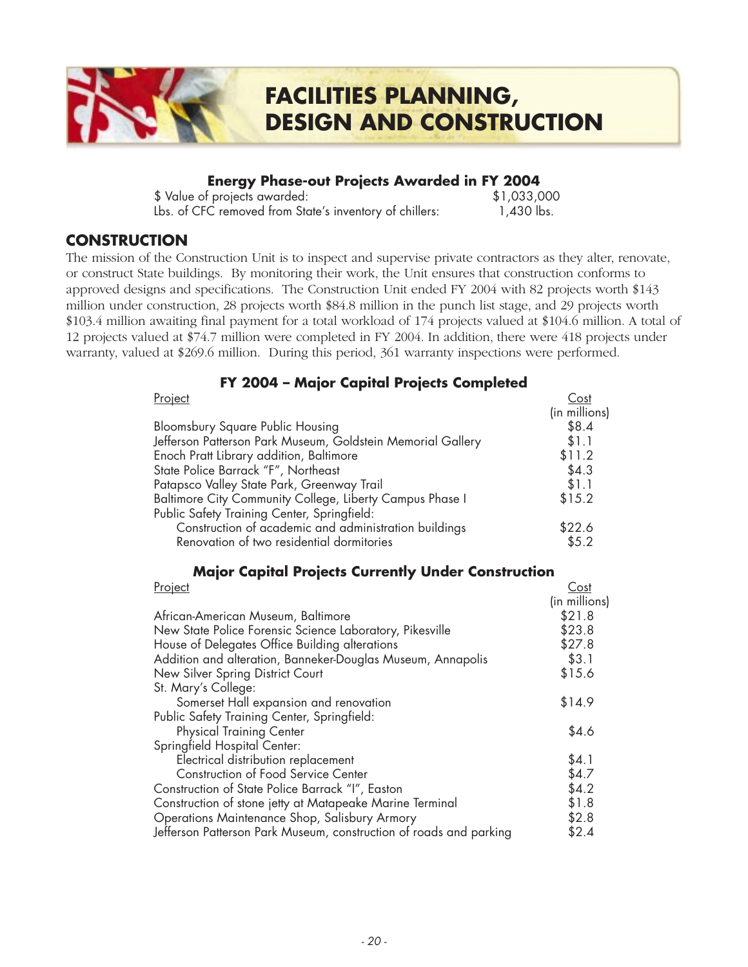# **FACILITIES PLANNING, DESIGN AND CONSTRUCTION**

### **Energy Phase-out Projects Awarded in FY 2004**

*\$ Value of projects awarded: \$1,033,000 Lbs. of CFC removed from State's inventory of chillers: 1,430 lbs.*

### **CONSTRUCTION**

The mission of the Construction Unit is to inspect and supervise private contractors as they alter, renovate, or construct State buildings. By monitoring their work, the Unit ensures that construction conforms to approved designs and specifications. The Construction Unit ended FY 2004 with 82 projects worth \$143 million under construction, 28 projects worth \$84.8 million in the punch list stage, and 29 projects worth \$103.4 million awaiting final payment for a total workload of 174 projects valued at \$104.6 million. A total of 12 projects valued at \$74.7 million were completed in FY 2004. In addition, there were 418 projects under warranty, valued at \$269.6 million. During this period, 361 warranty inspections were performed.

### **FY 2004 – Major Capital Projects Completed**

| Project                                                     | Cost          |
|-------------------------------------------------------------|---------------|
|                                                             | (in millions) |
| <b>Bloomsbury Square Public Housing</b>                     | \$8.4         |
| Jefferson Patterson Park Museum, Goldstein Memorial Gallery | \$1.1         |
| Enoch Pratt Library addition, Baltimore                     | \$11.2        |
| State Police Barrack "F", Northeast                         | \$4.3         |
| Patapsco Valley State Park, Greenway Trail                  | \$1.1         |
| Baltimore City Community College, Liberty Campus Phase I    | \$15.2        |
| Public Safety Training Center, Springfield:                 |               |
| Construction of academic and administration buildings       | \$22.6        |
| Renovation of two residential dormitories                   | \$5.2         |

### **Major Capital Projects Currently Under Construction**

| Project                                                            | Cost          |
|--------------------------------------------------------------------|---------------|
|                                                                    | (in millions) |
| African-American Museum, Baltimore                                 | \$21.8        |
| New State Police Forensic Science Laboratory, Pikesville           | \$23.8        |
| House of Delegates Office Building alterations                     | \$27.8        |
| Addition and alteration, Banneker-Douglas Museum, Annapolis        | \$3.1         |
| New Silver Spring District Court                                   | \$15.6        |
| St. Mary's College:                                                |               |
| Somerset Hall expansion and renovation                             | \$14.9        |
| Public Safety Training Center, Springfield:                        |               |
| <b>Physical Training Center</b>                                    | \$4.6         |
| Springfield Hospital Center:                                       |               |
| Electrical distribution replacement                                | \$4.1         |
| <b>Construction of Food Service Center</b>                         | \$4.7         |
| Construction of State Police Barrack "I", Easton                   | \$4.2         |
| Construction of stone jetty at Matapeake Marine Terminal           | \$1.8         |
| Operations Maintenance Shop, Salisbury Armory                      | \$2.8         |
| Jefferson Patterson Park Museum, construction of roads and parking | \$2.4         |
|                                                                    |               |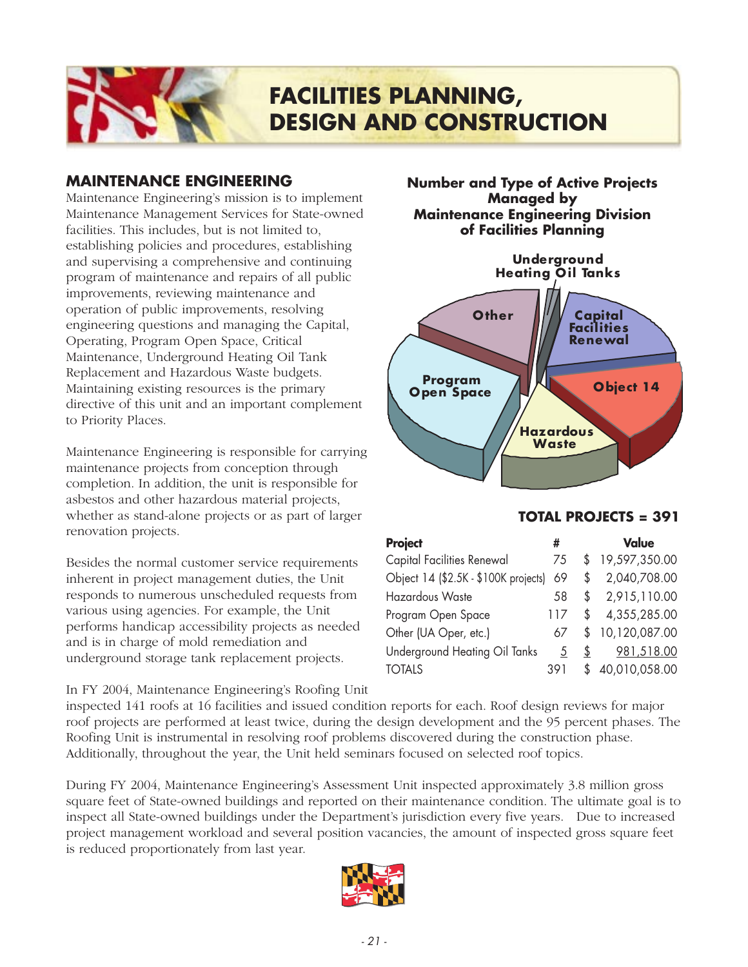

### **MAINTENANCE ENGINEERING**

Maintenance Engineering's mission is to implement Maintenance Management Services for State-owned facilities. This includes, but is not limited to, establishing policies and procedures, establishing and supervising a comprehensive and continuing program of maintenance and repairs of all public improvements, reviewing maintenance and operation of public improvements, resolving engineering questions and managing the Capital, Operating, Program Open Space, Critical Maintenance, Underground Heating Oil Tank Replacement and Hazardous Waste budgets. Maintaining existing resources is the primary directive of this unit and an important complement to Priority Places.

Maintenance Engineering is responsible for carrying maintenance projects from conception through completion. In addition, the unit is responsible for asbestos and other hazardous material projects, whether as stand-alone projects or as part of larger renovation projects.

Besides the normal customer service requirements inherent in project management duties, the Unit responds to numerous unscheduled requests from various using agencies. For example, the Unit performs handicap accessibility projects as needed and is in charge of mold remediation and underground storage tank replacement projects.

In FY 2004, Maintenance Engineering's Roofing Unit

**Number and Type of Active Projects Managed by Maintenance Engineering Division of Facilities Planning**



### **TOTAL PROJECTS = 391**

| <b>Project</b>                       | #   |    | <b>Value</b>  |
|--------------------------------------|-----|----|---------------|
| <b>Capital Facilities Renewal</b>    | 75  | \$ | 19,597,350.00 |
| Object 14 (\$2.5K - \$100K projects) | 69  | \$ | 2,040,708.00  |
| Hazardous Waste                      | 58  | S  | 2,915,110.00  |
| Program Open Space                   | 117 | \$ | 4,355,285.00  |
| Other (UA Oper, etc.)                | 67  | S  | 10,120,087.00 |
| Underground Heating Oil Tanks        | 5   | \$ | 981,518.00    |
| <b>TOTALS</b>                        | 391 |    | 40,010,058.00 |

inspected 141 roofs at 16 facilities and issued condition reports for each. Roof design reviews for major roof projects are performed at least twice, during the design development and the 95 percent phases. The Roofing Unit is instrumental in resolving roof problems discovered during the construction phase. Additionally, throughout the year, the Unit held seminars focused on selected roof topics.

During FY 2004, Maintenance Engineering's Assessment Unit inspected approximately 3.8 million gross square feet of State-owned buildings and reported on their maintenance condition. The ultimate goal is to inspect all State-owned buildings under the Department's jurisdiction every five years. Due to increased project management workload and several position vacancies, the amount of inspected gross square feet is reduced proportionately from last year.

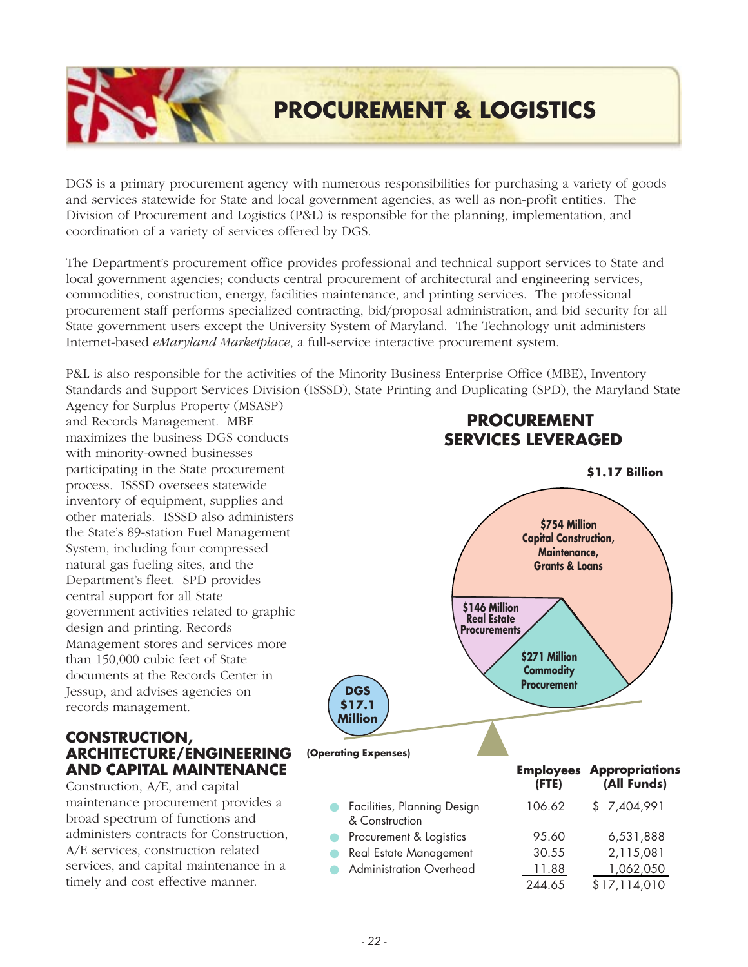## **PROCUREMENT & LOGISTICS**

DGS is a primary procurement agency with numerous responsibilities for purchasing a variety of goods and services statewide for State and local government agencies, as well as non-profit entities. The Division of Procurement and Logistics (P&L) is responsible for the planning, implementation, and coordination of a variety of services offered by DGS.

The Department's procurement office provides professional and technical support services to State and local government agencies; conducts central procurement of architectural and engineering services, commodities, construction, energy, facilities maintenance, and printing services. The professional procurement staff performs specialized contracting, bid/proposal administration, and bid security for all State government users except the University System of Maryland.The Technology unit administers Internet-based *eMaryland Marketplace*, a full-service interactive procurement system.

P&L is also responsible for the activities of the Minority Business Enterprise Office (MBE), Inventory Standards and Support Services Division (ISSSD), State Printing and Duplicating (SPD), the Maryland State

Agency for Surplus Property (MSASP) and Records Management. MBE maximizes the business DGS conducts with minority-owned businesses participating in the State procurement process. ISSSD oversees statewide inventory of equipment, supplies and other materials. ISSSD also administers the State's 89-station Fuel Management System, including four compressed natural gas fueling sites, and the Department's fleet. SPD provides central support for all State government activities related to graphic design and printing. Records Management stores and services more than 150,000 cubic feet of State documents at the Records Center in Jessup, and advises agencies on records management.

### **CONSTRUCTION, ARCHITECTURE/ENGINEERING AND CAPITAL MAINTENANCE**

Construction, A/E, and capital maintenance procurement provides a broad spectrum of functions and administers contracts for Construction, A/E services, construction related services, and capital maintenance in a timely and cost effective manner.

### **PROCUREMENT SERVICES LEVERAGED**

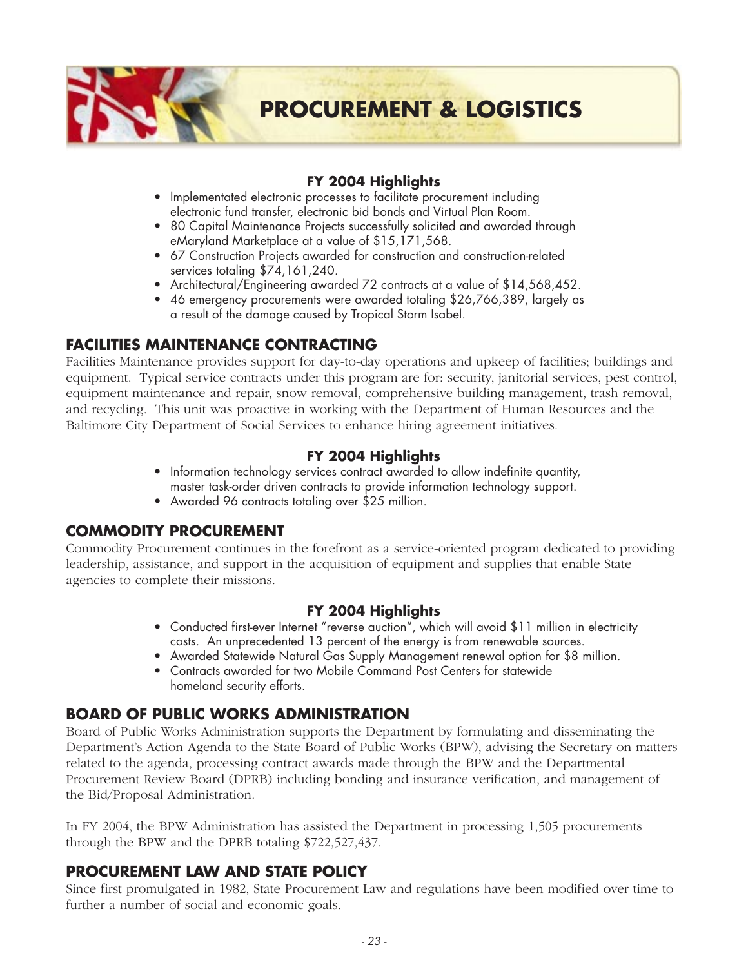

### **FY 2004 Highlights**

- *Implementated electronic processes to facilitate procurement including electronic fund transfer, electronic bid bonds and Virtual Plan Room.*
- *80 Capital Maintenance Projects successfully solicited and awarded through eMaryland Marketplace at a value of \$15,171,568.*
- *67 Construction Projects awarded for construction and construction-related services totaling \$74,161,240.*
- *Architectural/Engineering awarded 72 contracts at a value of \$14,568,452.*
- *46 emergency procurements were awarded totaling \$26,766,389, largely as a result of the damage caused by Tropical Storm Isabel.*

### **FACILITIES MAINTENANCE CONTRACTING**

Facilities Maintenance provides support for day-to-day operations and upkeep of facilities; buildings and equipment. Typical service contracts under this program are for: security, janitorial services, pest control, equipment maintenance and repair, snow removal, comprehensive building management, trash removal, and recycling. This unit was proactive in working with the Department of Human Resources and the Baltimore City Department of Social Services to enhance hiring agreement initiatives.

### **FY 2004 Highlights**

- *Information technology services contract awarded to allow indefinite quantity, master task-order driven contracts to provide information technology support.*
- *Awarded 96 contracts totaling over \$25 million.*

### **COMMODITY PROCUREMENT**

Commodity Procurement continues in the forefront as a service-oriented program dedicated to providing leadership, assistance, and support in the acquisition of equipment and supplies that enable State agencies to complete their missions.

### **FY 2004 Highlights**

- *Conducted first-ever Internet "reverse auction", which will avoid \$11 million in electricity costs. An unprecedented 13 percent of the energy is from renewable sources.*
- *Awarded Statewide Natural Gas Supply Management renewal option for \$8 million.*
- *Contracts awarded for two Mobile Command Post Centers for statewide homeland security efforts.*

### **BOARD OF PUBLIC WORKS ADMINISTRATION**

Board of Public Works Administration supports the Department by formulating and disseminating the Department's Action Agenda to the State Board of Public Works (BPW), advising the Secretary on matters related to the agenda, processing contract awards made through the BPW and the Departmental Procurement Review Board (DPRB) including bonding and insurance verification, and management of the Bid/Proposal Administration.

In FY 2004, the BPW Administration has assisted the Department in processing 1,505 procurements through the BPW and the DPRB totaling \$722,527,437.

### **PROCUREMENT LAW AND STATE POLICY**

Since first promulgated in 1982, State Procurement Law and regulations have been modified over time to further a number of social and economic goals.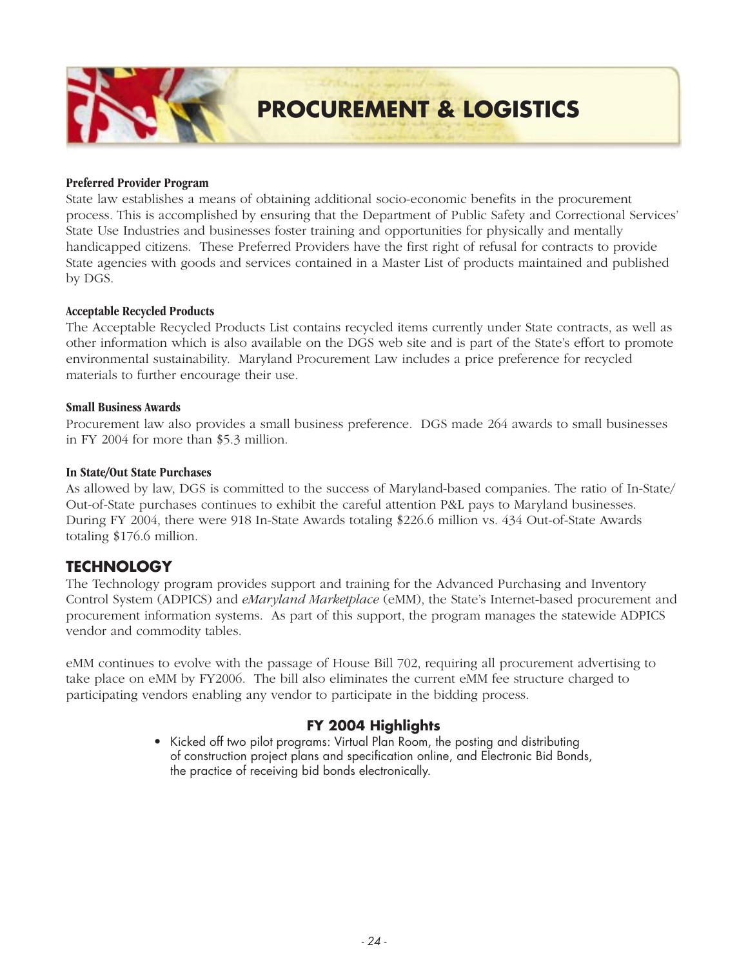

#### **Preferred Provider Program**

State law establishes a means of obtaining additional socio-economic benefits in the procurement process. This is accomplished by ensuring that the Department of Public Safety and Correctional Services' State Use Industries and businesses foster training and opportunities for physically and mentally handicapped citizens. These Preferred Providers have the first right of refusal for contracts to provide State agencies with goods and services contained in a Master List of products maintained and published by DGS.

#### **Acceptable Recycled Products**

The Acceptable Recycled Products List contains recycled items currently under State contracts, as well as other information which is also available on the DGS web site and is part of the State's effort to promote environmental sustainability. Maryland Procurement Law includes a price preference for recycled materials to further encourage their use.

#### **Small Business Awards**

Procurement law also provides a small business preference. DGS made 264 awards to small businesses in FY 2004 for more than \$5.3 million.

#### **In State/Out State Purchases**

As allowed by law, DGS is committed to the success of Maryland-based companies. The ratio of In-State/ Out-of-State purchases continues to exhibit the careful attention P&L pays to Maryland businesses. During FY 2004, there were 918 In-State Awards totaling \$226.6 million vs. 434 Out-of-State Awards totaling \$176.6 million.

### **TECHNOLOGY**

The Technology program provides support and training for the Advanced Purchasing and Inventory Control System (ADPICS) and *eMaryland Marketplace* (eMM), the State's Internet-based procurement and procurement information systems. As part of this support, the program manages the statewide ADPICS vendor and commodity tables.

eMM continues to evolve with the passage of House Bill 702, requiring all procurement advertising to take place on eMM by FY2006. The bill also eliminates the current eMM fee structure charged to participating vendors enabling any vendor to participate in the bidding process.

### **FY 2004 Highlights**

*• Kicked off two pilot programs: Virtual Plan Room, the posting and distributing of construction project plans and specification online, and Electronic Bid Bonds, the practice of receiving bid bonds electronically.*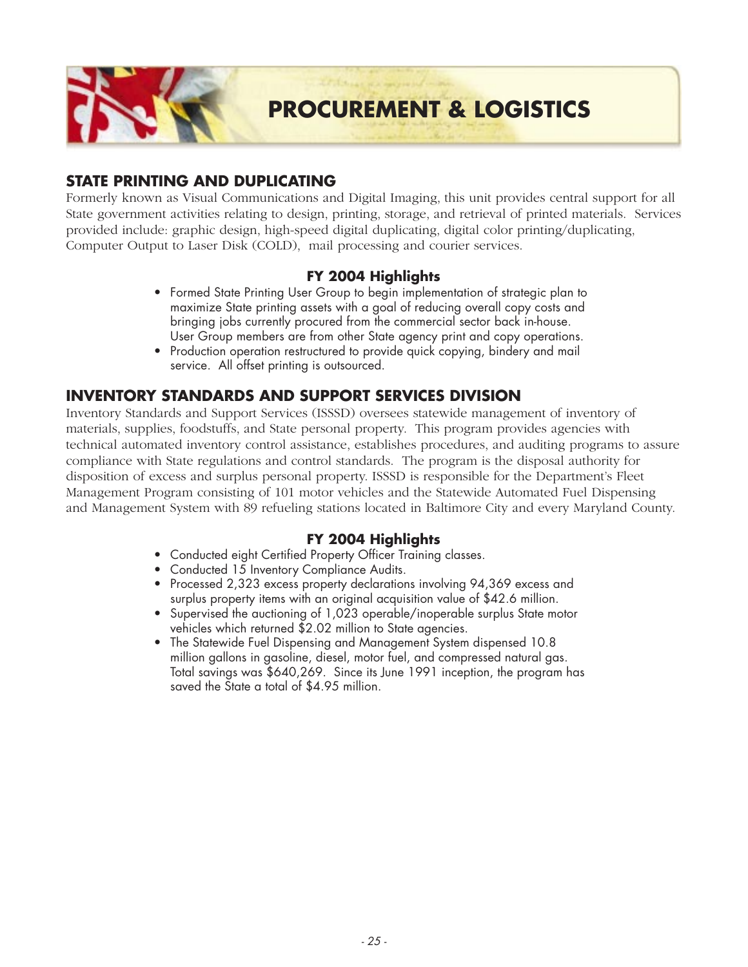

### **STATE PRINTING AND DUPLICATING**

Formerly known as Visual Communications and Digital Imaging, this unit provides central support for all State government activities relating to design, printing, storage, and retrieval of printed materials. Services provided include: graphic design, high-speed digital duplicating, digital color printing/duplicating, Computer Output to Laser Disk (COLD), mail processing and courier services.

### **FY 2004 Highlights**

- *Formed State Printing User Group to begin implementation of strategic plan to maximize State printing assets with a goal of reducing overall copy costs and bringing jobs currently procured from the commercial sector back in-house. User Group members are from other State agency print and copy operations.*
- *Production operation restructured to provide quick copying, bindery and mail service. All offset printing is outsourced.*

### **INVENTORY STANDARDS AND SUPPORT SERVICES DIVISION**

Inventory Standards and Support Services (ISSSD) oversees statewide management of inventory of materials, supplies, foodstuffs, and State personal property. This program provides agencies with technical automated inventory control assistance, establishes procedures, and auditing programs to assure compliance with State regulations and control standards. The program is the disposal authority for disposition of excess and surplus personal property. ISSSD is responsible for the Department's Fleet Management Program consisting of 101 motor vehicles and the Statewide Automated Fuel Dispensing and Management System with 89 refueling stations located in Baltimore City and every Maryland County.

- *Conducted eight Certified Property Officer Training classes.*
- *Conducted 15 Inventory Compliance Audits.*
- *Processed 2,323 excess property declarations involving 94,369 excess and surplus property items with an original acquisition value of \$42.6 million.*
- *Supervised the auctioning of 1,023 operable/inoperable surplus State motor vehicles which returned \$2.02 million to State agencies.*
- *The Statewide Fuel Dispensing and Management System dispensed 10.8 million gallons in gasoline, diesel, motor fuel, and compressed natural gas. Total savings was \$640,269. Since its June 1991 inception, the program has saved the State a total of \$4.95 million.*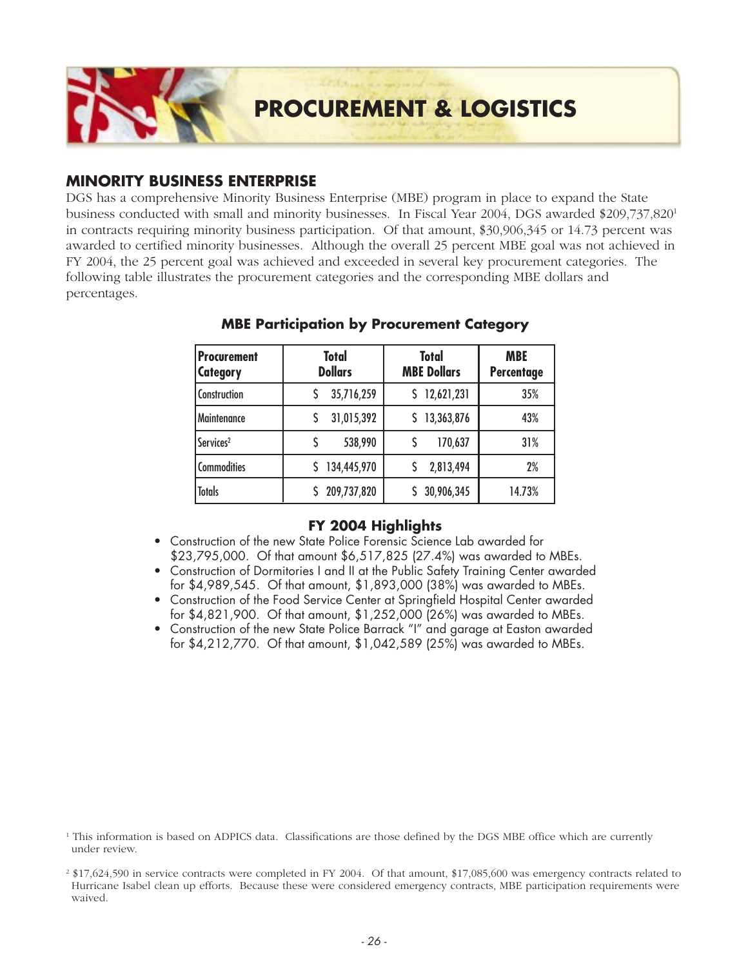

### **MINORITY BUSINESS ENTERPRISE**

DGS has a comprehensive Minority Business Enterprise (MBE) program in place to expand the State business conducted with small and minority businesses. In Fiscal Year 2004, DGS awarded \$209,737,8201 in contracts requiring minority business participation. Of that amount, \$30,906,345 or 14.73 percent was awarded to certified minority businesses. Although the overall 25 percent MBE goal was not achieved in FY 2004, the 25 percent goal was achieved and exceeded in several key procurement categories. The following table illustrates the procurement categories and the corresponding MBE dollars and percentages.

| Procurement<br><b>Category</b> | <b>Total</b><br><b>Dollars</b> | <b>Total</b><br><b>MBE Dollars</b> | <b>MBE</b><br>Percentage |
|--------------------------------|--------------------------------|------------------------------------|--------------------------|
| Construction                   | 35,716,259                     | 12,621,231<br>S                    | 35%                      |
| Maintenance                    | 31,015,392                     | 13,363,876                         | 43%                      |
| Services <sup>2</sup>          | 538,990                        | 170,637                            | 31%                      |
| <b>Commodities</b>             | 134,445,970                    | 2,813,494                          | 2%                       |
| <b>Totals</b>                  | 209,737,820                    | 30,906,345                         | 14.73%                   |

### **MBE Participation by Procurement Category**

- *Construction of the new State Police Forensic Science Lab awarded for \$23,795,000. Of that amount \$6,517,825 (27.4%) was awarded to MBEs.*
- *Construction of Dormitories I and II at the Public Safety Training Center awarded for \$4,989,545. Of that amount, \$1,893,000 (38%) was awarded to MBEs.*
- *Construction of the Food Service Center at Springfield Hospital Center awarded for \$4,821,900. Of that amount, \$1,252,000 (26%) was awarded to MBEs.*
- *Construction of the new State Police Barrack "I" and garage at Easton awarded for \$4,212,770. Of that amount, \$1,042,589 (25%) was awarded to MBEs.*

<sup>1</sup> This information is based on ADPICS data. Classifications are those defined by the DGS MBE office which are currently under review.

<sup>2</sup> \$17,624,590 in service contracts were completed in FY 2004. Of that amount, \$17,085,600 was emergency contracts related to Hurricane Isabel clean up efforts. Because these were considered emergency contracts, MBE participation requirements were waived.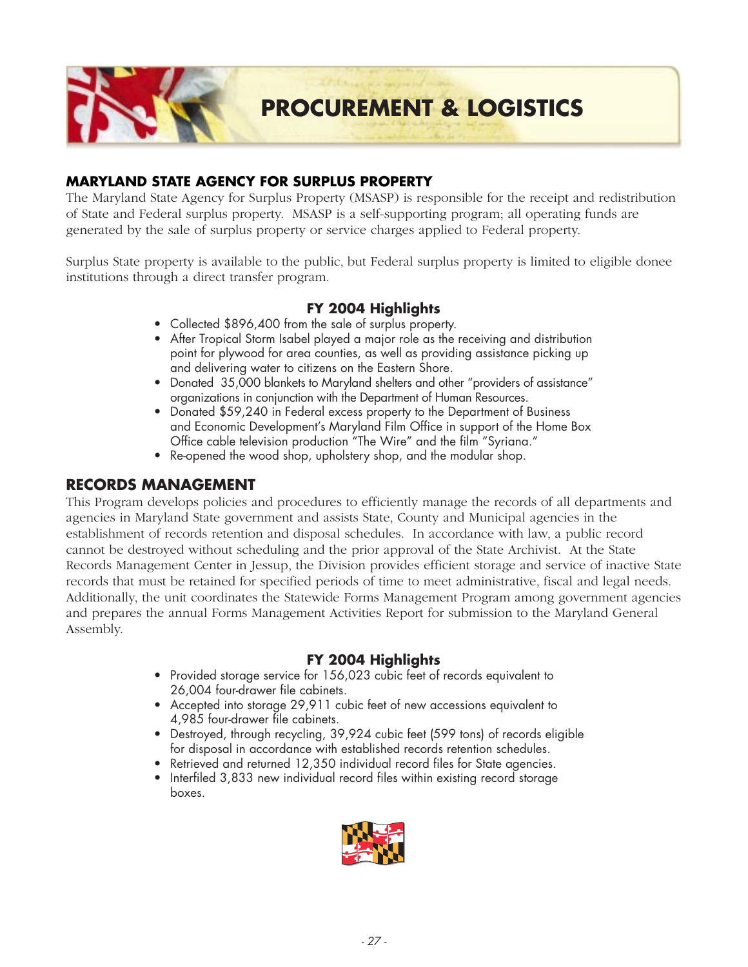

### **MARYLAND STATE AGENCY FOR SURPLUS PROPERTY**

The Maryland State Agency for Surplus Property (MSASP) is responsible for the receipt and redistribution of State and Federal surplus property. MSASP is a self-supporting program; all operating funds are generated by the sale of surplus property or service charges applied to Federal property.

Surplus State property is available to the public, but Federal surplus property is limited to eligible donee institutions through a direct transfer program.

### **FY 2004 Highlights**

- *Collected \$896,400 from the sale of surplus property.*
- *After Tropical Storm Isabel played a major role as the receiving and distribution point for plywood for area counties, as well as providing assistance picking up and delivering water to citizens on the Eastern Shore.*
- *Donated 35,000 blankets to Maryland shelters and other "providers of assistance" organizations in conjunction with the Department of Human Resources.*
- *Donated \$59,240 in Federal excess property to the Department of Business and Economic Development's Maryland Film Office in support of the Home Box Office cable television production "The Wire" and the film "Syriana."*
- *Re-opened the wood shop, upholstery shop, and the modular shop.*

### **RECORDS MANAGEMENT**

This Program develops policies and procedures to efficiently manage the records of all departments and agencies in Maryland State government and assists State, County and Municipal agencies in the establishment of records retention and disposal schedules. In accordance with law, a public record cannot be destroyed without scheduling and the prior approval of the State Archivist. At the State Records Management Center in Jessup, the Division provides efficient storage and service of inactive State records that must be retained for specified periods of time to meet administrative, fiscal and legal needs. Additionally, the unit coordinates the Statewide Forms Management Program among government agencies and prepares the annual Forms Management Activities Report for submission to the Maryland General Assembly.

- *Provided storage service for 156,023 cubic feet of records equivalent to 26,004 four-drawer file cabinets.*
- *Accepted into storage 29,911 cubic feet of new accessions equivalent to 4,985 four-drawer file cabinets.*
- *Destroyed, through recycling, 39,924 cubic feet (599 tons) of records eligible for disposal in accordance with established records retention schedules.*
- *Retrieved and returned 12,350 individual record files for State agencies.*
- *Interfiled 3,833 new individual record files within existing record storage boxes.*

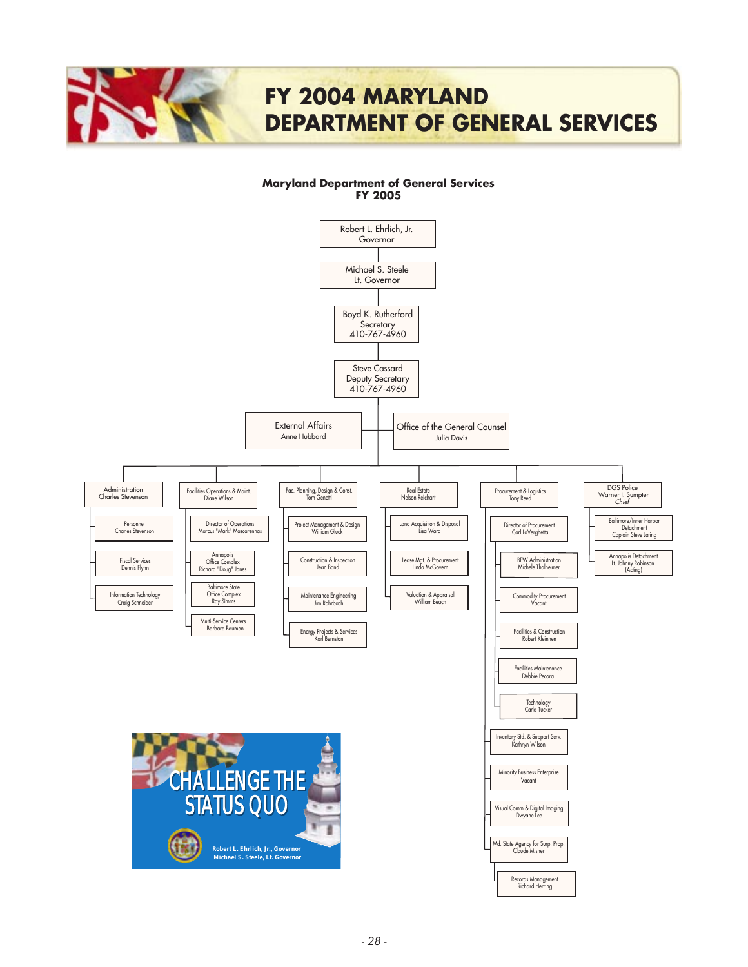

#### **Maryland Department of General Services FY 2005**